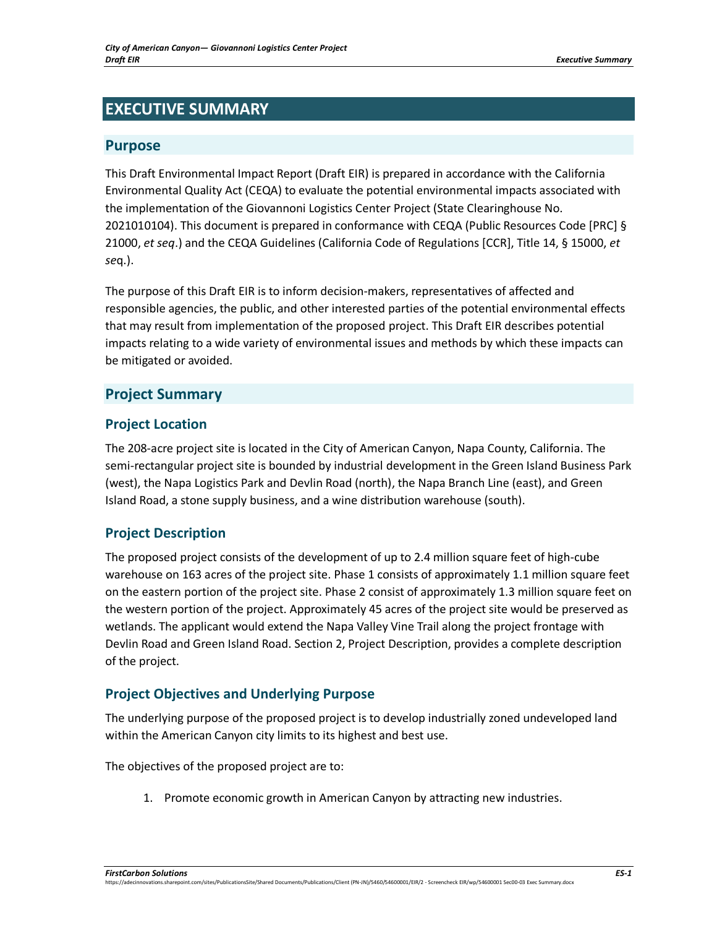# **EXECUTIVE SUMMARY**

### **Purpose**

This Draft Environmental Impact Report (Draft EIR) is prepared in accordance with the California Environmental Quality Act (CEQA) to evaluate the potential environmental impacts associated with the implementation of the Giovannoni Logistics Center Project (State Clearinghouse No. 2021010104). This document is prepared in conformance with CEQA (Public Resources Code [PRC] § 21000, *et seq*.) and the CEQA Guidelines (California Code of Regulations [CCR], Title 14, § 15000, *et se*q.).

The purpose of this Draft EIR is to inform decision-makers, representatives of affected and responsible agencies, the public, and other interested parties of the potential environmental effects that may result from implementation of the proposed project. This Draft EIR describes potential impacts relating to a wide variety of environmental issues and methods by which these impacts can be mitigated or avoided.

# **Project Summary**

# **Project Location**

The 208-acre project site is located in the City of American Canyon, Napa County, California. The semi-rectangular project site is bounded by industrial development in the Green Island Business Park (west), the Napa Logistics Park and Devlin Road (north), the Napa Branch Line (east), and Green Island Road, a stone supply business, and a wine distribution warehouse (south).

# **Project Description**

The proposed project consists of the development of up to 2.4 million square feet of high-cube warehouse on 163 acres of the project site. Phase 1 consists of approximately 1.1 million square feet on the eastern portion of the project site. Phase 2 consist of approximately 1.3 million square feet on the western portion of the project. Approximately 45 acres of the project site would be preserved as wetlands. The applicant would extend the Napa Valley Vine Trail along the project frontage with Devlin Road and Green Island Road. Section 2, Project Description, provides a complete description of the project.

# **Project Objectives and Underlying Purpose**

The underlying purpose of the proposed project is to develop industrially zoned undeveloped land within the American Canyon city limits to its highest and best use.

The objectives of the proposed project are to:

1. Promote economic growth in American Canyon by attracting new industries.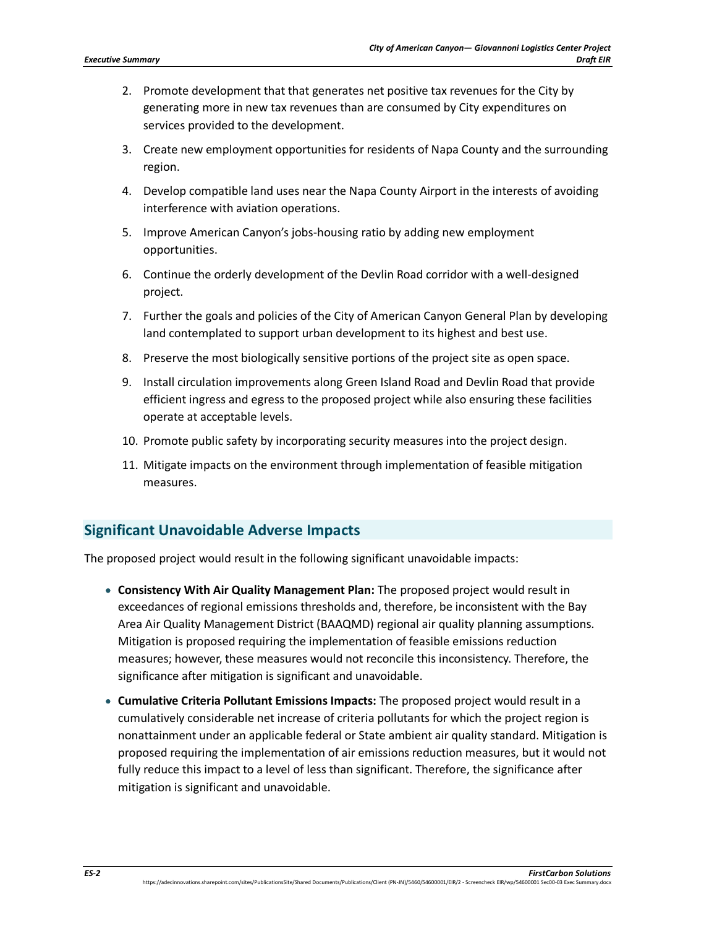- 2. Promote development that that generates net positive tax revenues for the City by generating more in new tax revenues than are consumed by City expenditures on services provided to the development.
- 3. Create new employment opportunities for residents of Napa County and the surrounding region.
- 4. Develop compatible land uses near the Napa County Airport in the interests of avoiding interference with aviation operations.
- 5. Improve American Canyon's jobs-housing ratio by adding new employment opportunities.
- 6. Continue the orderly development of the Devlin Road corridor with a well-designed project.
- 7. Further the goals and policies of the City of American Canyon General Plan by developing land contemplated to support urban development to its highest and best use.
- 8. Preserve the most biologically sensitive portions of the project site as open space.
- 9. Install circulation improvements along Green Island Road and Devlin Road that provide efficient ingress and egress to the proposed project while also ensuring these facilities operate at acceptable levels.
- 10. Promote public safety by incorporating security measures into the project design.
- 11. Mitigate impacts on the environment through implementation of feasible mitigation measures.

# **Significant Unavoidable Adverse Impacts**

The proposed project would result in the following significant unavoidable impacts:

- **Consistency With Air Quality Management Plan:** The proposed project would result in exceedances of regional emissions thresholds and, therefore, be inconsistent with the Bay Area Air Quality Management District (BAAQMD) regional air quality planning assumptions. Mitigation is proposed requiring the implementation of feasible emissions reduction measures; however, these measures would not reconcile this inconsistency. Therefore, the significance after mitigation is significant and unavoidable.
- **Cumulative Criteria Pollutant Emissions Impacts:** The proposed project would result in a cumulatively considerable net increase of criteria pollutants for which the project region is nonattainment under an applicable federal or State ambient air quality standard. Mitigation is proposed requiring the implementation of air emissions reduction measures, but it would not fully reduce this impact to a level of less than significant. Therefore, the significance after mitigation is significant and unavoidable.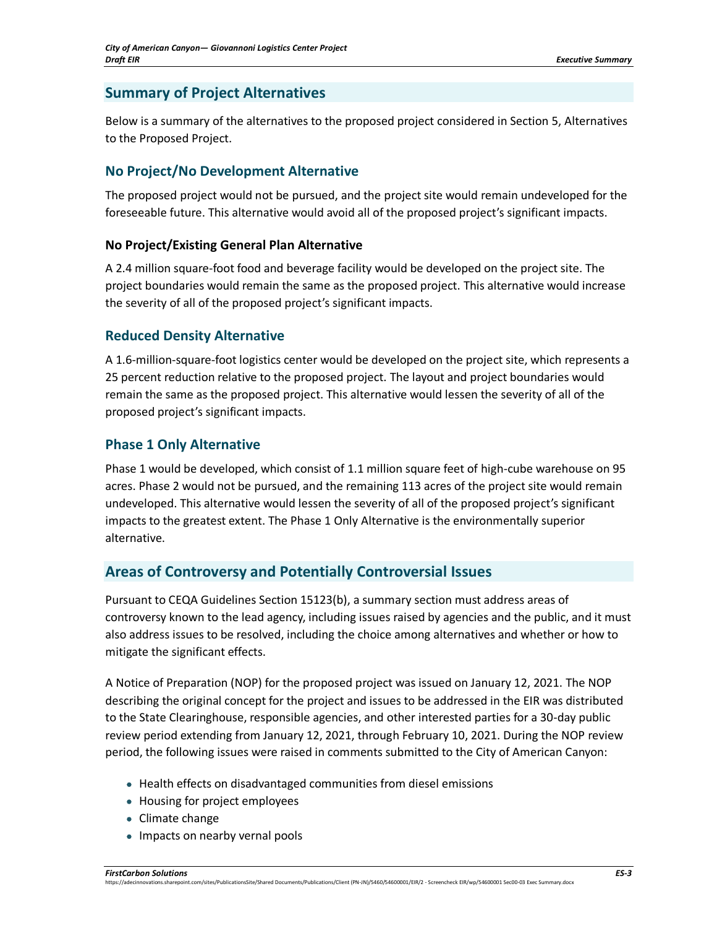# **Summary of Project Alternatives**

Below is a summary of the alternatives to the proposed project considered in Section 5, Alternatives to the Proposed Project.

# **No Project/No Development Alternative**

The proposed project would not be pursued, and the project site would remain undeveloped for the foreseeable future. This alternative would avoid all of the proposed project's significant impacts.

#### **No Project/Existing General Plan Alternative**

A 2.4 million square-foot food and beverage facility would be developed on the project site. The project boundaries would remain the same as the proposed project. This alternative would increase the severity of all of the proposed project's significant impacts.

# **Reduced Density Alternative**

A 1.6-million-square-foot logistics center would be developed on the project site, which represents a 25 percent reduction relative to the proposed project. The layout and project boundaries would remain the same as the proposed project. This alternative would lessen the severity of all of the proposed project's significant impacts.

#### **Phase 1 Only Alternative**

Phase 1 would be developed, which consist of 1.1 million square feet of high-cube warehouse on 95 acres. Phase 2 would not be pursued, and the remaining 113 acres of the project site would remain undeveloped. This alternative would lessen the severity of all of the proposed project's significant impacts to the greatest extent. The Phase 1 Only Alternative is the environmentally superior alternative.

# **Areas of Controversy and Potentially Controversial Issues**

Pursuant to CEQA Guidelines Section 15123(b), a summary section must address areas of controversy known to the lead agency, including issues raised by agencies and the public, and it must also address issues to be resolved, including the choice among alternatives and whether or how to mitigate the significant effects.

A Notice of Preparation (NOP) for the proposed project was issued on January 12, 2021. The NOP describing the original concept for the project and issues to be addressed in the EIR was distributed to the State Clearinghouse, responsible agencies, and other interested parties for a 30-day public review period extending from January 12, 2021, through February 10, 2021. During the NOP review period, the following issues were raised in comments submitted to the City of American Canyon:

- Health effects on disadvantaged communities from diesel emissions
- Housing for project employees
- Climate change
- Impacts on nearby vernal pools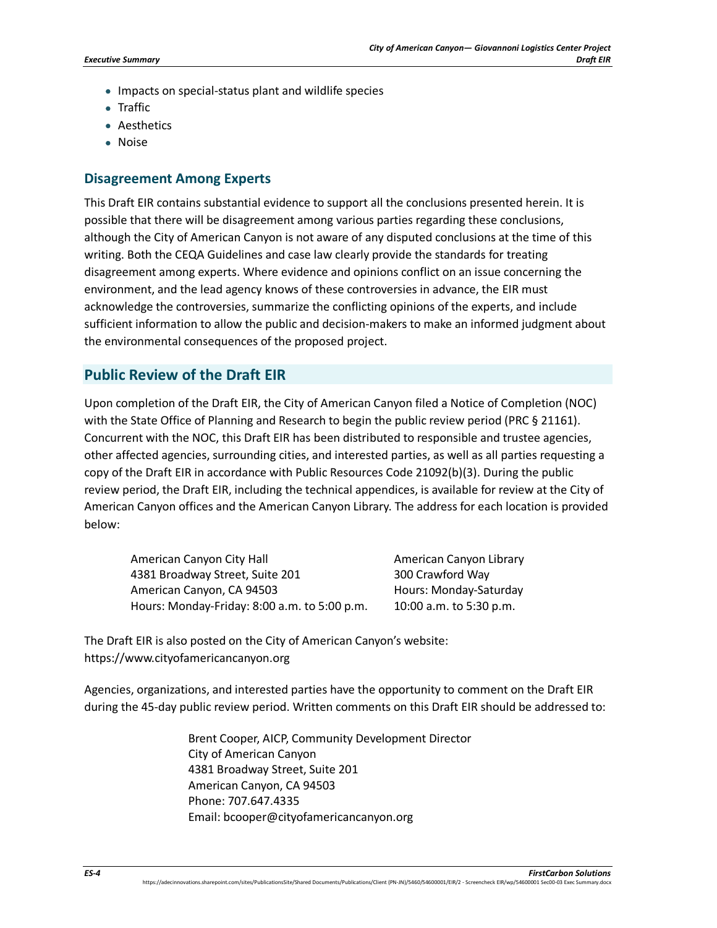- Impacts on special-status plant and wildlife species
- Traffic
- Aesthetics
- Noise

#### **Disagreement Among Experts**

This Draft EIR contains substantial evidence to support all the conclusions presented herein. It is possible that there will be disagreement among various parties regarding these conclusions, although the City of American Canyon is not aware of any disputed conclusions at the time of this writing. Both the CEQA Guidelines and case law clearly provide the standards for treating disagreement among experts. Where evidence and opinions conflict on an issue concerning the environment, and the lead agency knows of these controversies in advance, the EIR must acknowledge the controversies, summarize the conflicting opinions of the experts, and include sufficient information to allow the public and decision-makers to make an informed judgment about the environmental consequences of the proposed project.

#### **Public Review of the Draft EIR**

Upon completion of the Draft EIR, the City of American Canyon filed a Notice of Completion (NOC) with the State Office of Planning and Research to begin the public review period (PRC § 21161). Concurrent with the NOC, this Draft EIR has been distributed to responsible and trustee agencies, other affected agencies, surrounding cities, and interested parties, as well as all parties requesting a copy of the Draft EIR in accordance with Public Resources Code 21092(b)(3). During the public review period, the Draft EIR, including the technical appendices, is available for review at the City of American Canyon offices and the American Canyon Library. The address for each location is provided below:

American Canyon City Hall 4381 Broadway Street, Suite 201 American Canyon, CA 94503 Hours: Monday-Friday: 8:00 a.m. to 5:00 p.m.

American Canyon Library 300 Crawford Way Hours: Monday-Saturday 10:00 a.m. to 5:30 p.m.

The Draft EIR is also posted on the City of American Canyon's website: https://www.cityofamericancanyon.org

Agencies, organizations, and interested parties have the opportunity to comment on the Draft EIR during the 45-day public review period. Written comments on this Draft EIR should be addressed to:

> Brent Cooper, AICP, Community Development Director City of American Canyon 4381 Broadway Street, Suite 201 American Canyon, CA 94503 Phone: 707.647.4335 Email: bcooper@cityofamericancanyon.org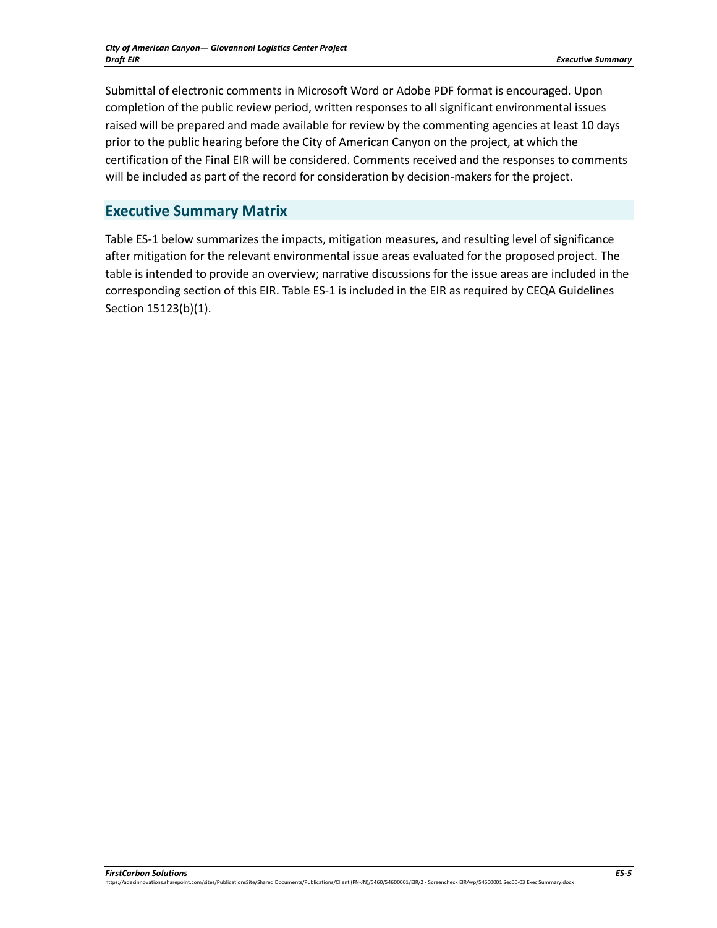Submittal of electronic comments in Microsoft Word or Adobe PDF format is encouraged. Upon completion of the public review period, written responses to all significant environmental issues raised will be prepared and made available for review by the commenting agencies at least 10 days prior to the public hearing before the City of American Canyon on the project, at which the certification of the Final EIR will be considered. Comments received and the responses to comments will be included as part of the record for consideration by decision-makers for the project.

# **Executive Summary Matrix**

[Table ES-1](#page-5-0) below summarizes the impacts, mitigation measures, and resulting level of significance after mitigation for the relevant environmental issue areas evaluated for the proposed project. The table is intended to provide an overview; narrative discussions for the issue areas are included in the corresponding section of this EIR. [Table ES-1](#page-5-0) is included in the EIR as required by CEQA Guidelines Section 15123(b)(1).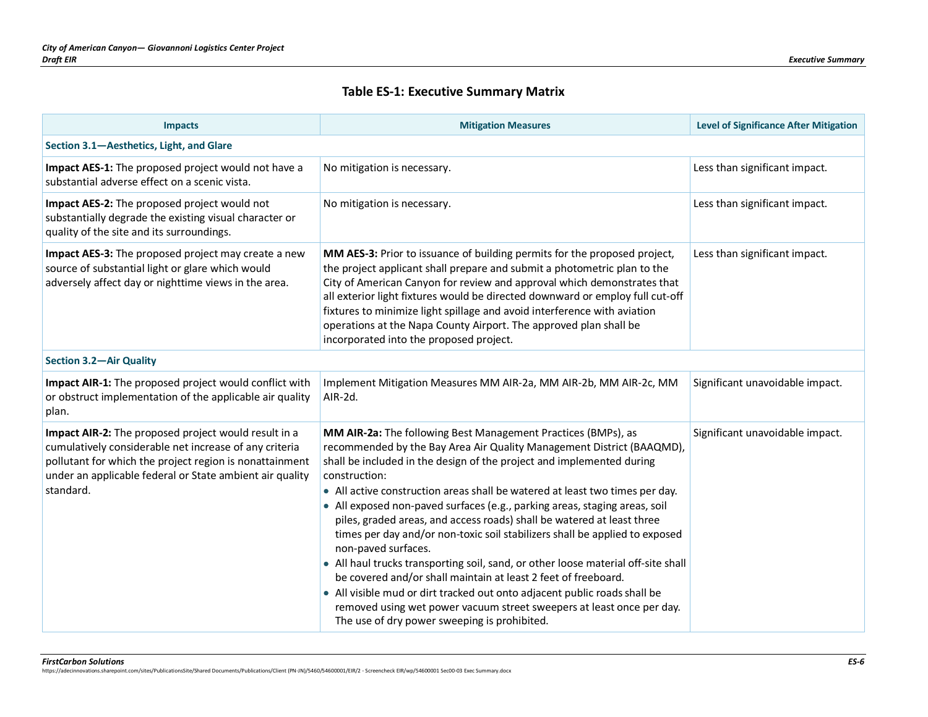#### **Table ES-1: Executive Summary Matrix**

<span id="page-5-0"></span>

| <b>Impacts</b>                                                                                                                                                                                                                                     | <b>Mitigation Measures</b>                                                                                                                                                                                                                                                                                                                                                                                                                                                                                                                                                                                                                                                                                                                                                                                                                                                                                                                  | <b>Level of Significance After Mitigation</b> |  |
|----------------------------------------------------------------------------------------------------------------------------------------------------------------------------------------------------------------------------------------------------|---------------------------------------------------------------------------------------------------------------------------------------------------------------------------------------------------------------------------------------------------------------------------------------------------------------------------------------------------------------------------------------------------------------------------------------------------------------------------------------------------------------------------------------------------------------------------------------------------------------------------------------------------------------------------------------------------------------------------------------------------------------------------------------------------------------------------------------------------------------------------------------------------------------------------------------------|-----------------------------------------------|--|
| Section 3.1-Aesthetics, Light, and Glare                                                                                                                                                                                                           |                                                                                                                                                                                                                                                                                                                                                                                                                                                                                                                                                                                                                                                                                                                                                                                                                                                                                                                                             |                                               |  |
| Impact AES-1: The proposed project would not have a<br>substantial adverse effect on a scenic vista.                                                                                                                                               | No mitigation is necessary.                                                                                                                                                                                                                                                                                                                                                                                                                                                                                                                                                                                                                                                                                                                                                                                                                                                                                                                 | Less than significant impact.                 |  |
| Impact AES-2: The proposed project would not<br>substantially degrade the existing visual character or<br>quality of the site and its surroundings.                                                                                                | No mitigation is necessary.                                                                                                                                                                                                                                                                                                                                                                                                                                                                                                                                                                                                                                                                                                                                                                                                                                                                                                                 | Less than significant impact.                 |  |
| Impact AES-3: The proposed project may create a new<br>source of substantial light or glare which would<br>adversely affect day or nighttime views in the area.                                                                                    | MM AES-3: Prior to issuance of building permits for the proposed project,<br>the project applicant shall prepare and submit a photometric plan to the<br>City of American Canyon for review and approval which demonstrates that<br>all exterior light fixtures would be directed downward or employ full cut-off<br>fixtures to minimize light spillage and avoid interference with aviation<br>operations at the Napa County Airport. The approved plan shall be<br>incorporated into the proposed project.                                                                                                                                                                                                                                                                                                                                                                                                                               | Less than significant impact.                 |  |
| <b>Section 3.2-Air Quality</b>                                                                                                                                                                                                                     |                                                                                                                                                                                                                                                                                                                                                                                                                                                                                                                                                                                                                                                                                                                                                                                                                                                                                                                                             |                                               |  |
| Impact AIR-1: The proposed project would conflict with<br>or obstruct implementation of the applicable air quality<br>plan.                                                                                                                        | Implement Mitigation Measures MM AIR-2a, MM AIR-2b, MM AIR-2c, MM<br>AIR-2d.                                                                                                                                                                                                                                                                                                                                                                                                                                                                                                                                                                                                                                                                                                                                                                                                                                                                | Significant unavoidable impact.               |  |
| Impact AIR-2: The proposed project would result in a<br>cumulatively considerable net increase of any criteria<br>pollutant for which the project region is nonattainment<br>under an applicable federal or State ambient air quality<br>standard. | MM AIR-2a: The following Best Management Practices (BMPs), as<br>recommended by the Bay Area Air Quality Management District (BAAQMD),<br>shall be included in the design of the project and implemented during<br>construction:<br>• All active construction areas shall be watered at least two times per day.<br>• All exposed non-paved surfaces (e.g., parking areas, staging areas, soil<br>piles, graded areas, and access roads) shall be watered at least three<br>times per day and/or non-toxic soil stabilizers shall be applied to exposed<br>non-paved surfaces.<br>• All haul trucks transporting soil, sand, or other loose material off-site shall<br>be covered and/or shall maintain at least 2 feet of freeboard.<br>• All visible mud or dirt tracked out onto adjacent public roads shall be<br>removed using wet power vacuum street sweepers at least once per day.<br>The use of dry power sweeping is prohibited. | Significant unavoidable impact.               |  |

*FirstCarbon Solutions ES-6*  https://adecinnovations.sharepoint.com/sites/PublicationsSite/Shared Documents/Publications/Client (PN-JN)/5460/54600001/EIR/2 - Screencheck EIR/wp/54600001 Sec00-03 Exec Summary.docx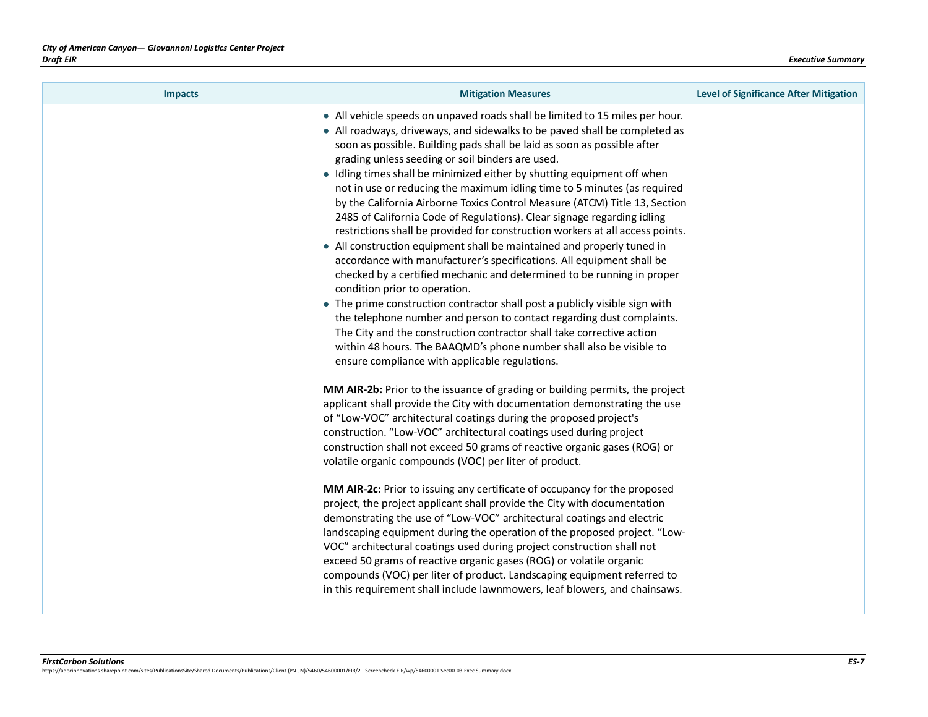| <b>Impacts</b> | <b>Mitigation Measures</b>                                                                                                                                                                                                                                                                                                                                                                                                                                                                                                                                                                                                                                                                                                                                                                                                                                                                                                                                                                                                                                                                                                                                                                                                                                                                                         | <b>Level of Significance After Mitigation</b> |
|----------------|--------------------------------------------------------------------------------------------------------------------------------------------------------------------------------------------------------------------------------------------------------------------------------------------------------------------------------------------------------------------------------------------------------------------------------------------------------------------------------------------------------------------------------------------------------------------------------------------------------------------------------------------------------------------------------------------------------------------------------------------------------------------------------------------------------------------------------------------------------------------------------------------------------------------------------------------------------------------------------------------------------------------------------------------------------------------------------------------------------------------------------------------------------------------------------------------------------------------------------------------------------------------------------------------------------------------|-----------------------------------------------|
|                | • All vehicle speeds on unpaved roads shall be limited to 15 miles per hour.<br>• All roadways, driveways, and sidewalks to be paved shall be completed as<br>soon as possible. Building pads shall be laid as soon as possible after<br>grading unless seeding or soil binders are used.<br>• Idling times shall be minimized either by shutting equipment off when<br>not in use or reducing the maximum idling time to 5 minutes (as required<br>by the California Airborne Toxics Control Measure (ATCM) Title 13, Section<br>2485 of California Code of Regulations). Clear signage regarding idling<br>restrictions shall be provided for construction workers at all access points.<br>• All construction equipment shall be maintained and properly tuned in<br>accordance with manufacturer's specifications. All equipment shall be<br>checked by a certified mechanic and determined to be running in proper<br>condition prior to operation.<br>• The prime construction contractor shall post a publicly visible sign with<br>the telephone number and person to contact regarding dust complaints.<br>The City and the construction contractor shall take corrective action<br>within 48 hours. The BAAQMD's phone number shall also be visible to<br>ensure compliance with applicable regulations. |                                               |
|                | MM AIR-2b: Prior to the issuance of grading or building permits, the project<br>applicant shall provide the City with documentation demonstrating the use<br>of "Low-VOC" architectural coatings during the proposed project's<br>construction. "Low-VOC" architectural coatings used during project<br>construction shall not exceed 50 grams of reactive organic gases (ROG) or<br>volatile organic compounds (VOC) per liter of product.<br>MM AIR-2c: Prior to issuing any certificate of occupancy for the proposed<br>project, the project applicant shall provide the City with documentation<br>demonstrating the use of "Low-VOC" architectural coatings and electric<br>landscaping equipment during the operation of the proposed project. "Low-<br>VOC" architectural coatings used during project construction shall not<br>exceed 50 grams of reactive organic gases (ROG) or volatile organic<br>compounds (VOC) per liter of product. Landscaping equipment referred to<br>in this requirement shall include lawnmowers, leaf blowers, and chainsaws.                                                                                                                                                                                                                                              |                                               |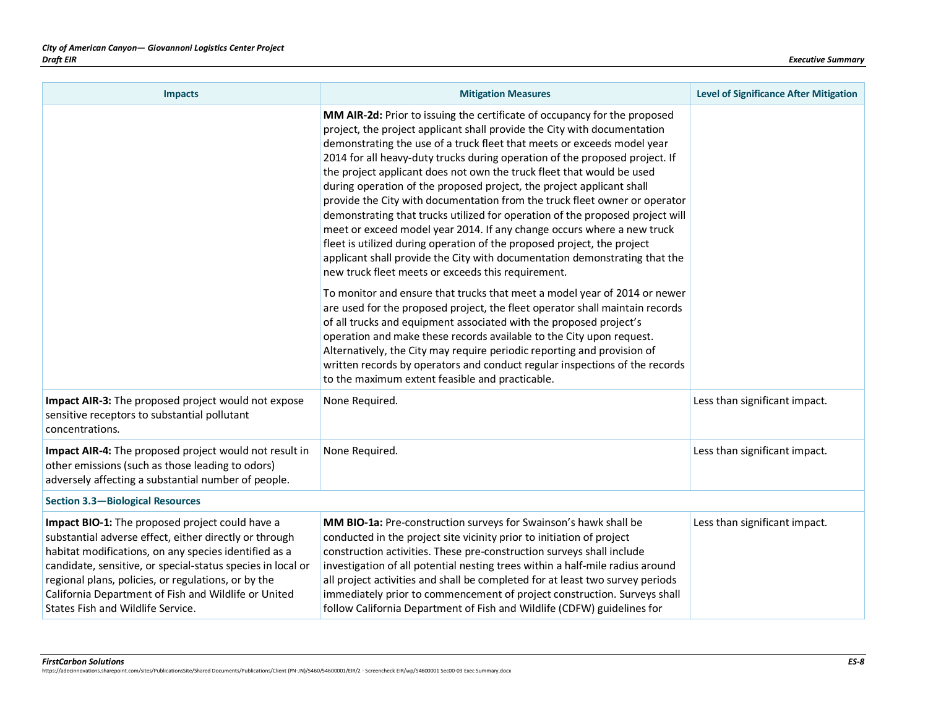| <b>Impacts</b>                                                                                                                                                                                                                                                                                                                                                                        | <b>Mitigation Measures</b>                                                                                                                                                                                                                                                                                                                                                                                                                                                                                                                                                                                                                                                                                                                                                                                                                                                                                                                                                                             | <b>Level of Significance After Mitigation</b> |
|---------------------------------------------------------------------------------------------------------------------------------------------------------------------------------------------------------------------------------------------------------------------------------------------------------------------------------------------------------------------------------------|--------------------------------------------------------------------------------------------------------------------------------------------------------------------------------------------------------------------------------------------------------------------------------------------------------------------------------------------------------------------------------------------------------------------------------------------------------------------------------------------------------------------------------------------------------------------------------------------------------------------------------------------------------------------------------------------------------------------------------------------------------------------------------------------------------------------------------------------------------------------------------------------------------------------------------------------------------------------------------------------------------|-----------------------------------------------|
|                                                                                                                                                                                                                                                                                                                                                                                       | MM AIR-2d: Prior to issuing the certificate of occupancy for the proposed<br>project, the project applicant shall provide the City with documentation<br>demonstrating the use of a truck fleet that meets or exceeds model year<br>2014 for all heavy-duty trucks during operation of the proposed project. If<br>the project applicant does not own the truck fleet that would be used<br>during operation of the proposed project, the project applicant shall<br>provide the City with documentation from the truck fleet owner or operator<br>demonstrating that trucks utilized for operation of the proposed project will<br>meet or exceed model year 2014. If any change occurs where a new truck<br>fleet is utilized during operation of the proposed project, the project<br>applicant shall provide the City with documentation demonstrating that the<br>new truck fleet meets or exceeds this requirement.<br>To monitor and ensure that trucks that meet a model year of 2014 or newer |                                               |
|                                                                                                                                                                                                                                                                                                                                                                                       | are used for the proposed project, the fleet operator shall maintain records<br>of all trucks and equipment associated with the proposed project's<br>operation and make these records available to the City upon request.<br>Alternatively, the City may require periodic reporting and provision of<br>written records by operators and conduct regular inspections of the records<br>to the maximum extent feasible and practicable.                                                                                                                                                                                                                                                                                                                                                                                                                                                                                                                                                                |                                               |
| Impact AIR-3: The proposed project would not expose<br>sensitive receptors to substantial pollutant<br>concentrations.                                                                                                                                                                                                                                                                | None Required.                                                                                                                                                                                                                                                                                                                                                                                                                                                                                                                                                                                                                                                                                                                                                                                                                                                                                                                                                                                         | Less than significant impact.                 |
| Impact AIR-4: The proposed project would not result in<br>other emissions (such as those leading to odors)<br>adversely affecting a substantial number of people.                                                                                                                                                                                                                     | None Required.                                                                                                                                                                                                                                                                                                                                                                                                                                                                                                                                                                                                                                                                                                                                                                                                                                                                                                                                                                                         | Less than significant impact.                 |
| <b>Section 3.3-Biological Resources</b>                                                                                                                                                                                                                                                                                                                                               |                                                                                                                                                                                                                                                                                                                                                                                                                                                                                                                                                                                                                                                                                                                                                                                                                                                                                                                                                                                                        |                                               |
| Impact BIO-1: The proposed project could have a<br>substantial adverse effect, either directly or through<br>habitat modifications, on any species identified as a<br>candidate, sensitive, or special-status species in local or<br>regional plans, policies, or regulations, or by the<br>California Department of Fish and Wildlife or United<br>States Fish and Wildlife Service. | MM BIO-1a: Pre-construction surveys for Swainson's hawk shall be<br>conducted in the project site vicinity prior to initiation of project<br>construction activities. These pre-construction surveys shall include<br>investigation of all potential nesting trees within a half-mile radius around<br>all project activities and shall be completed for at least two survey periods<br>immediately prior to commencement of project construction. Surveys shall<br>follow California Department of Fish and Wildlife (CDFW) guidelines for                                                                                                                                                                                                                                                                                                                                                                                                                                                            | Less than significant impact.                 |

*FirstCarbon Solutions ES-8*  https://adecinnovations.sharepoint.com/sites/PublicationsSite/Shared Documents/Publications/Client (PN-JN)/5460/54600001/EIR/2 - Screencheck EIR/wp/54600001 Sec00-03 Exec Summary.docx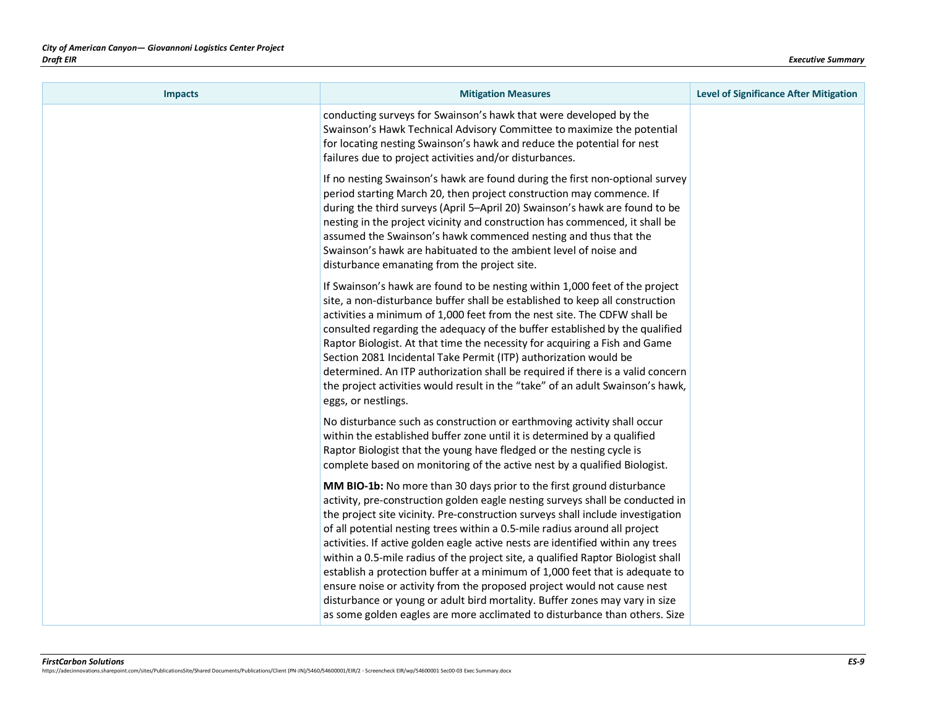| <b>Impacts</b> | <b>Mitigation Measures</b>                                                                                                                                                                                                                                                                                                                                                                                                                                                                                                                                                                                                                                                                                                                                                                                             | <b>Level of Significance After Mitigation</b> |
|----------------|------------------------------------------------------------------------------------------------------------------------------------------------------------------------------------------------------------------------------------------------------------------------------------------------------------------------------------------------------------------------------------------------------------------------------------------------------------------------------------------------------------------------------------------------------------------------------------------------------------------------------------------------------------------------------------------------------------------------------------------------------------------------------------------------------------------------|-----------------------------------------------|
|                | conducting surveys for Swainson's hawk that were developed by the<br>Swainson's Hawk Technical Advisory Committee to maximize the potential<br>for locating nesting Swainson's hawk and reduce the potential for nest<br>failures due to project activities and/or disturbances.                                                                                                                                                                                                                                                                                                                                                                                                                                                                                                                                       |                                               |
|                | If no nesting Swainson's hawk are found during the first non-optional survey<br>period starting March 20, then project construction may commence. If<br>during the third surveys (April 5-April 20) Swainson's hawk are found to be<br>nesting in the project vicinity and construction has commenced, it shall be<br>assumed the Swainson's hawk commenced nesting and thus that the<br>Swainson's hawk are habituated to the ambient level of noise and<br>disturbance emanating from the project site.                                                                                                                                                                                                                                                                                                              |                                               |
|                | If Swainson's hawk are found to be nesting within 1,000 feet of the project<br>site, a non-disturbance buffer shall be established to keep all construction<br>activities a minimum of 1,000 feet from the nest site. The CDFW shall be<br>consulted regarding the adequacy of the buffer established by the qualified<br>Raptor Biologist. At that time the necessity for acquiring a Fish and Game<br>Section 2081 Incidental Take Permit (ITP) authorization would be<br>determined. An ITP authorization shall be required if there is a valid concern<br>the project activities would result in the "take" of an adult Swainson's hawk,<br>eggs, or nestlings.                                                                                                                                                    |                                               |
|                | No disturbance such as construction or earthmoving activity shall occur<br>within the established buffer zone until it is determined by a qualified<br>Raptor Biologist that the young have fledged or the nesting cycle is<br>complete based on monitoring of the active nest by a qualified Biologist.                                                                                                                                                                                                                                                                                                                                                                                                                                                                                                               |                                               |
|                | MM BIO-1b: No more than 30 days prior to the first ground disturbance<br>activity, pre-construction golden eagle nesting surveys shall be conducted in<br>the project site vicinity. Pre-construction surveys shall include investigation<br>of all potential nesting trees within a 0.5-mile radius around all project<br>activities. If active golden eagle active nests are identified within any trees<br>within a 0.5-mile radius of the project site, a qualified Raptor Biologist shall<br>establish a protection buffer at a minimum of 1,000 feet that is adequate to<br>ensure noise or activity from the proposed project would not cause nest<br>disturbance or young or adult bird mortality. Buffer zones may vary in size<br>as some golden eagles are more acclimated to disturbance than others. Size |                                               |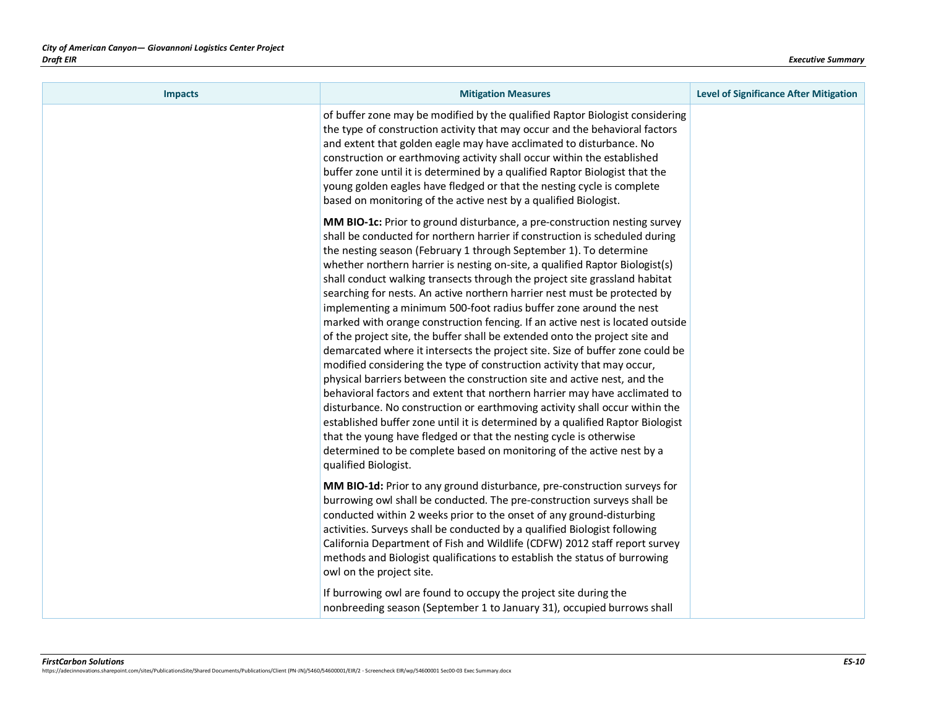| <b>Impacts</b> | <b>Mitigation Measures</b>                                                                                                                                                                                                                                                                                                                                                                                                                                                                                                                                                                                                                                                                                                                                                                                                                                                                                                                                                                                                                                                                                                                                                                                                                                                                                                                                                  | <b>Level of Significance After Mitigation</b> |
|----------------|-----------------------------------------------------------------------------------------------------------------------------------------------------------------------------------------------------------------------------------------------------------------------------------------------------------------------------------------------------------------------------------------------------------------------------------------------------------------------------------------------------------------------------------------------------------------------------------------------------------------------------------------------------------------------------------------------------------------------------------------------------------------------------------------------------------------------------------------------------------------------------------------------------------------------------------------------------------------------------------------------------------------------------------------------------------------------------------------------------------------------------------------------------------------------------------------------------------------------------------------------------------------------------------------------------------------------------------------------------------------------------|-----------------------------------------------|
|                | of buffer zone may be modified by the qualified Raptor Biologist considering<br>the type of construction activity that may occur and the behavioral factors<br>and extent that golden eagle may have acclimated to disturbance. No<br>construction or earthmoving activity shall occur within the established<br>buffer zone until it is determined by a qualified Raptor Biologist that the<br>young golden eagles have fledged or that the nesting cycle is complete<br>based on monitoring of the active nest by a qualified Biologist.                                                                                                                                                                                                                                                                                                                                                                                                                                                                                                                                                                                                                                                                                                                                                                                                                                  |                                               |
|                | MM BIO-1c: Prior to ground disturbance, a pre-construction nesting survey<br>shall be conducted for northern harrier if construction is scheduled during<br>the nesting season (February 1 through September 1). To determine<br>whether northern harrier is nesting on-site, a qualified Raptor Biologist(s)<br>shall conduct walking transects through the project site grassland habitat<br>searching for nests. An active northern harrier nest must be protected by<br>implementing a minimum 500-foot radius buffer zone around the nest<br>marked with orange construction fencing. If an active nest is located outside<br>of the project site, the buffer shall be extended onto the project site and<br>demarcated where it intersects the project site. Size of buffer zone could be<br>modified considering the type of construction activity that may occur,<br>physical barriers between the construction site and active nest, and the<br>behavioral factors and extent that northern harrier may have acclimated to<br>disturbance. No construction or earthmoving activity shall occur within the<br>established buffer zone until it is determined by a qualified Raptor Biologist<br>that the young have fledged or that the nesting cycle is otherwise<br>determined to be complete based on monitoring of the active nest by a<br>qualified Biologist. |                                               |
|                | MM BIO-1d: Prior to any ground disturbance, pre-construction surveys for<br>burrowing owl shall be conducted. The pre-construction surveys shall be<br>conducted within 2 weeks prior to the onset of any ground-disturbing<br>activities. Surveys shall be conducted by a qualified Biologist following<br>California Department of Fish and Wildlife (CDFW) 2012 staff report survey<br>methods and Biologist qualifications to establish the status of burrowing<br>owl on the project site.                                                                                                                                                                                                                                                                                                                                                                                                                                                                                                                                                                                                                                                                                                                                                                                                                                                                             |                                               |
|                | If burrowing owl are found to occupy the project site during the<br>nonbreeding season (September 1 to January 31), occupied burrows shall                                                                                                                                                                                                                                                                                                                                                                                                                                                                                                                                                                                                                                                                                                                                                                                                                                                                                                                                                                                                                                                                                                                                                                                                                                  |                                               |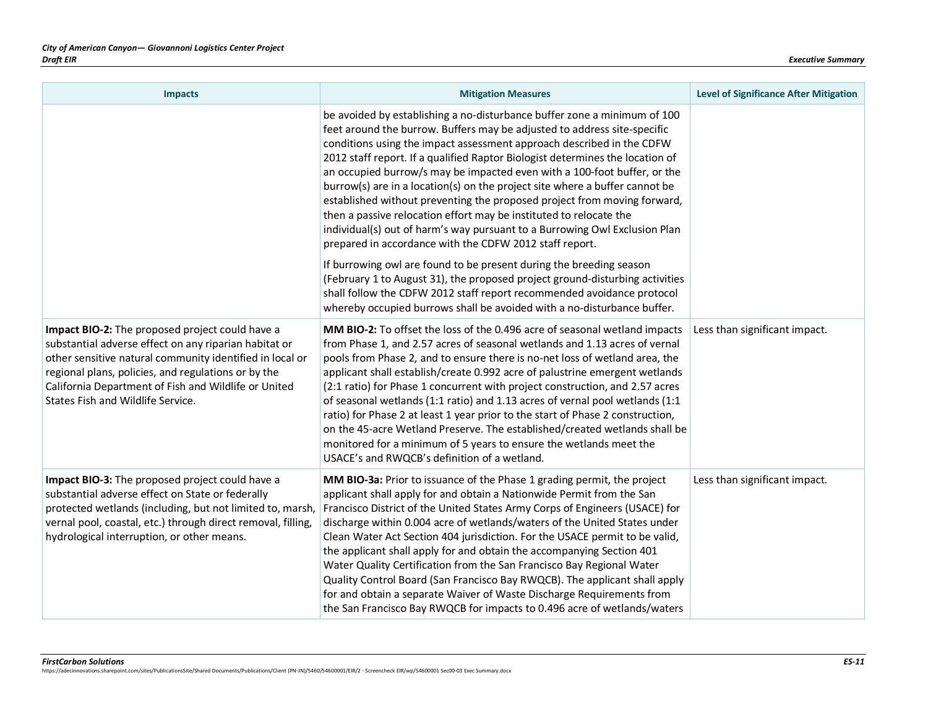| <b>Impacts</b>                                                                                                                                                                                                                                                                                                           | <b>Mitigation Measures</b>                                                                                                                                                                                                                                                                                                                                                                                                                                                                                                                                                                                                                                                                                                                                                       | <b>Level of Significance After Mitigation</b> |
|--------------------------------------------------------------------------------------------------------------------------------------------------------------------------------------------------------------------------------------------------------------------------------------------------------------------------|----------------------------------------------------------------------------------------------------------------------------------------------------------------------------------------------------------------------------------------------------------------------------------------------------------------------------------------------------------------------------------------------------------------------------------------------------------------------------------------------------------------------------------------------------------------------------------------------------------------------------------------------------------------------------------------------------------------------------------------------------------------------------------|-----------------------------------------------|
|                                                                                                                                                                                                                                                                                                                          | be avoided by establishing a no-disturbance buffer zone a minimum of 100<br>feet around the burrow. Buffers may be adjusted to address site-specific<br>conditions using the impact assessment approach described in the CDFW<br>2012 staff report. If a qualified Raptor Biologist determines the location of<br>an occupied burrow/s may be impacted even with a 100-foot buffer, or the<br>burrow(s) are in a location(s) on the project site where a buffer cannot be<br>established without preventing the proposed project from moving forward,<br>then a passive relocation effort may be instituted to relocate the<br>individual(s) out of harm's way pursuant to a Burrowing Owl Exclusion Plan<br>prepared in accordance with the CDFW 2012 staff report.             |                                               |
|                                                                                                                                                                                                                                                                                                                          | If burrowing owl are found to be present during the breeding season<br>(February 1 to August 31), the proposed project ground-disturbing activities<br>shall follow the CDFW 2012 staff report recommended avoidance protocol<br>whereby occupied burrows shall be avoided with a no-disturbance buffer.                                                                                                                                                                                                                                                                                                                                                                                                                                                                         |                                               |
| Impact BIO-2: The proposed project could have a<br>substantial adverse effect on any riparian habitat or<br>other sensitive natural community identified in local or<br>regional plans, policies, and regulations or by the<br>California Department of Fish and Wildlife or United<br>States Fish and Wildlife Service. | MM BIO-2: To offset the loss of the 0.496 acre of seasonal wetland impacts<br>from Phase 1, and 2.57 acres of seasonal wetlands and 1.13 acres of vernal<br>pools from Phase 2, and to ensure there is no-net loss of wetland area, the<br>applicant shall establish/create 0.992 acre of palustrine emergent wetlands<br>(2:1 ratio) for Phase 1 concurrent with project construction, and 2.57 acres<br>of seasonal wetlands (1:1 ratio) and 1.13 acres of vernal pool wetlands (1:1<br>ratio) for Phase 2 at least 1 year prior to the start of Phase 2 construction,<br>on the 45-acre Wetland Preserve. The established/created wetlands shall be<br>monitored for a minimum of 5 years to ensure the wetlands meet the<br>USACE's and RWQCB's definition of a wetland.     | Less than significant impact.                 |
| Impact BIO-3: The proposed project could have a<br>substantial adverse effect on State or federally<br>protected wetlands (including, but not limited to, marsh,<br>vernal pool, coastal, etc.) through direct removal, filling,<br>hydrological interruption, or other means.                                           | MM BIO-3a: Prior to issuance of the Phase 1 grading permit, the project<br>applicant shall apply for and obtain a Nationwide Permit from the San<br>Francisco District of the United States Army Corps of Engineers (USACE) for<br>discharge within 0.004 acre of wetlands/waters of the United States under<br>Clean Water Act Section 404 jurisdiction. For the USACE permit to be valid,<br>the applicant shall apply for and obtain the accompanying Section 401<br>Water Quality Certification from the San Francisco Bay Regional Water<br>Quality Control Board (San Francisco Bay RWQCB). The applicant shall apply<br>for and obtain a separate Waiver of Waste Discharge Requirements from<br>the San Francisco Bay RWQCB for impacts to 0.496 acre of wetlands/waters | Less than significant impact.                 |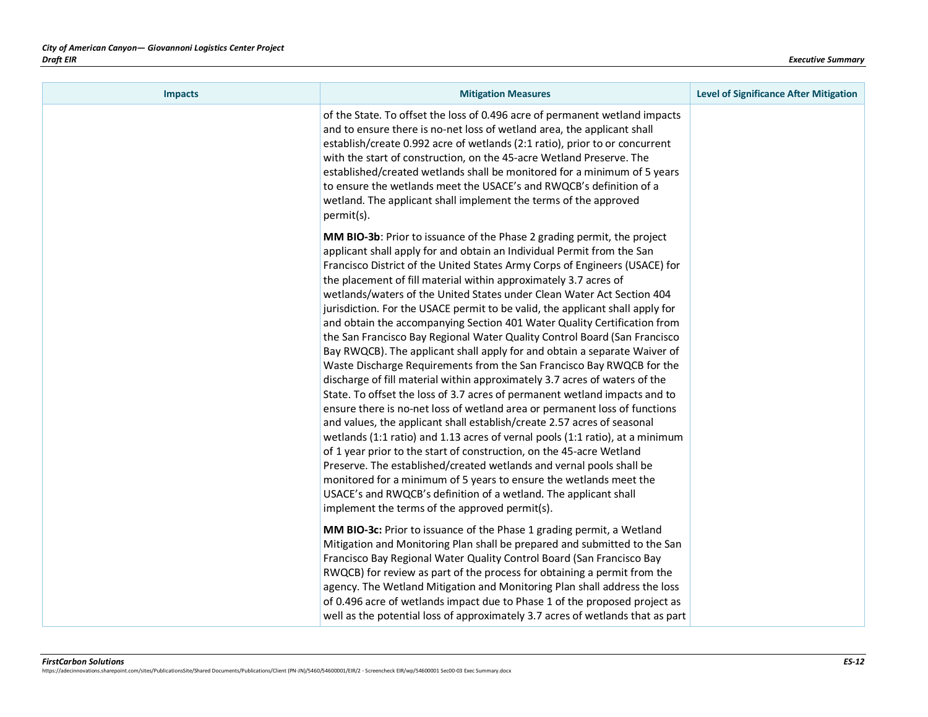| <b>Impacts</b> | <b>Mitigation Measures</b>                                                                                                                                                                                                                                                                                                                                                                                                                                                                                                                                                                                                                                                                                                                                                                                                                                                                                                                                                                                                                                                                                                                                                                                                                                                                                                                                                                                                                                                                                                       | <b>Level of Significance After Mitigation</b> |
|----------------|----------------------------------------------------------------------------------------------------------------------------------------------------------------------------------------------------------------------------------------------------------------------------------------------------------------------------------------------------------------------------------------------------------------------------------------------------------------------------------------------------------------------------------------------------------------------------------------------------------------------------------------------------------------------------------------------------------------------------------------------------------------------------------------------------------------------------------------------------------------------------------------------------------------------------------------------------------------------------------------------------------------------------------------------------------------------------------------------------------------------------------------------------------------------------------------------------------------------------------------------------------------------------------------------------------------------------------------------------------------------------------------------------------------------------------------------------------------------------------------------------------------------------------|-----------------------------------------------|
|                | of the State. To offset the loss of 0.496 acre of permanent wetland impacts<br>and to ensure there is no-net loss of wetland area, the applicant shall<br>establish/create 0.992 acre of wetlands (2:1 ratio), prior to or concurrent<br>with the start of construction, on the 45-acre Wetland Preserve. The<br>established/created wetlands shall be monitored for a minimum of 5 years<br>to ensure the wetlands meet the USACE's and RWQCB's definition of a<br>wetland. The applicant shall implement the terms of the approved<br>permit(s).                                                                                                                                                                                                                                                                                                                                                                                                                                                                                                                                                                                                                                                                                                                                                                                                                                                                                                                                                                               |                                               |
|                | MM BIO-3b: Prior to issuance of the Phase 2 grading permit, the project<br>applicant shall apply for and obtain an Individual Permit from the San<br>Francisco District of the United States Army Corps of Engineers (USACE) for<br>the placement of fill material within approximately 3.7 acres of<br>wetlands/waters of the United States under Clean Water Act Section 404<br>jurisdiction. For the USACE permit to be valid, the applicant shall apply for<br>and obtain the accompanying Section 401 Water Quality Certification from<br>the San Francisco Bay Regional Water Quality Control Board (San Francisco<br>Bay RWQCB). The applicant shall apply for and obtain a separate Waiver of<br>Waste Discharge Requirements from the San Francisco Bay RWQCB for the<br>discharge of fill material within approximately 3.7 acres of waters of the<br>State. To offset the loss of 3.7 acres of permanent wetland impacts and to<br>ensure there is no-net loss of wetland area or permanent loss of functions<br>and values, the applicant shall establish/create 2.57 acres of seasonal<br>wetlands (1:1 ratio) and 1.13 acres of vernal pools (1:1 ratio), at a minimum<br>of 1 year prior to the start of construction, on the 45-acre Wetland<br>Preserve. The established/created wetlands and vernal pools shall be<br>monitored for a minimum of 5 years to ensure the wetlands meet the<br>USACE's and RWQCB's definition of a wetland. The applicant shall<br>implement the terms of the approved permit(s). |                                               |
|                | MM BIO-3c: Prior to issuance of the Phase 1 grading permit, a Wetland<br>Mitigation and Monitoring Plan shall be prepared and submitted to the San<br>Francisco Bay Regional Water Quality Control Board (San Francisco Bay<br>RWQCB) for review as part of the process for obtaining a permit from the<br>agency. The Wetland Mitigation and Monitoring Plan shall address the loss<br>of 0.496 acre of wetlands impact due to Phase 1 of the proposed project as<br>well as the potential loss of approximately 3.7 acres of wetlands that as part                                                                                                                                                                                                                                                                                                                                                                                                                                                                                                                                                                                                                                                                                                                                                                                                                                                                                                                                                                             |                                               |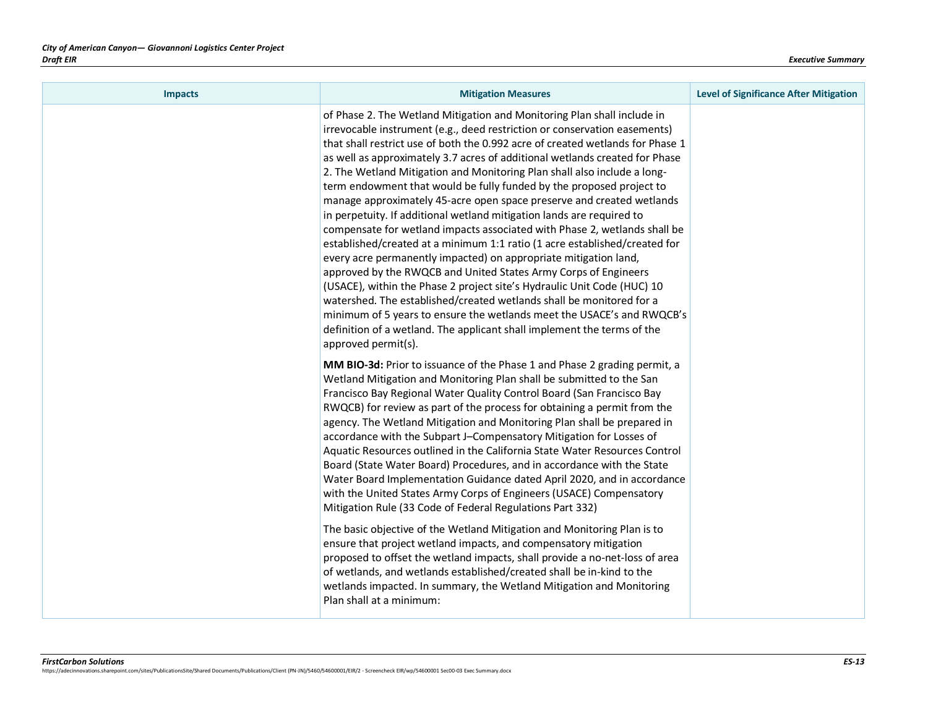| <b>Impacts</b> | <b>Mitigation Measures</b>                                                                                                                                                                                                                                                                                                                                                                                                                                                                                                                                                                                                                                                                                                                                                                                                                                                                                                                                                                                                                                                                                                                                                                                                                                   | <b>Level of Significance After Mitigation</b> |
|----------------|--------------------------------------------------------------------------------------------------------------------------------------------------------------------------------------------------------------------------------------------------------------------------------------------------------------------------------------------------------------------------------------------------------------------------------------------------------------------------------------------------------------------------------------------------------------------------------------------------------------------------------------------------------------------------------------------------------------------------------------------------------------------------------------------------------------------------------------------------------------------------------------------------------------------------------------------------------------------------------------------------------------------------------------------------------------------------------------------------------------------------------------------------------------------------------------------------------------------------------------------------------------|-----------------------------------------------|
|                | of Phase 2. The Wetland Mitigation and Monitoring Plan shall include in<br>irrevocable instrument (e.g., deed restriction or conservation easements)<br>that shall restrict use of both the 0.992 acre of created wetlands for Phase 1<br>as well as approximately 3.7 acres of additional wetlands created for Phase<br>2. The Wetland Mitigation and Monitoring Plan shall also include a long-<br>term endowment that would be fully funded by the proposed project to<br>manage approximately 45-acre open space preserve and created wetlands<br>in perpetuity. If additional wetland mitigation lands are required to<br>compensate for wetland impacts associated with Phase 2, wetlands shall be<br>established/created at a minimum 1:1 ratio (1 acre established/created for<br>every acre permanently impacted) on appropriate mitigation land,<br>approved by the RWQCB and United States Army Corps of Engineers<br>(USACE), within the Phase 2 project site's Hydraulic Unit Code (HUC) 10<br>watershed. The established/created wetlands shall be monitored for a<br>minimum of 5 years to ensure the wetlands meet the USACE's and RWQCB's<br>definition of a wetland. The applicant shall implement the terms of the<br>approved permit(s). |                                               |
|                | MM BIO-3d: Prior to issuance of the Phase 1 and Phase 2 grading permit, a<br>Wetland Mitigation and Monitoring Plan shall be submitted to the San<br>Francisco Bay Regional Water Quality Control Board (San Francisco Bay<br>RWQCB) for review as part of the process for obtaining a permit from the<br>agency. The Wetland Mitigation and Monitoring Plan shall be prepared in<br>accordance with the Subpart J-Compensatory Mitigation for Losses of<br>Aquatic Resources outlined in the California State Water Resources Control<br>Board (State Water Board) Procedures, and in accordance with the State<br>Water Board Implementation Guidance dated April 2020, and in accordance<br>with the United States Army Corps of Engineers (USACE) Compensatory<br>Mitigation Rule (33 Code of Federal Regulations Part 332)                                                                                                                                                                                                                                                                                                                                                                                                                              |                                               |
|                | The basic objective of the Wetland Mitigation and Monitoring Plan is to<br>ensure that project wetland impacts, and compensatory mitigation<br>proposed to offset the wetland impacts, shall provide a no-net-loss of area<br>of wetlands, and wetlands established/created shall be in-kind to the<br>wetlands impacted. In summary, the Wetland Mitigation and Monitoring<br>Plan shall at a minimum:                                                                                                                                                                                                                                                                                                                                                                                                                                                                                                                                                                                                                                                                                                                                                                                                                                                      |                                               |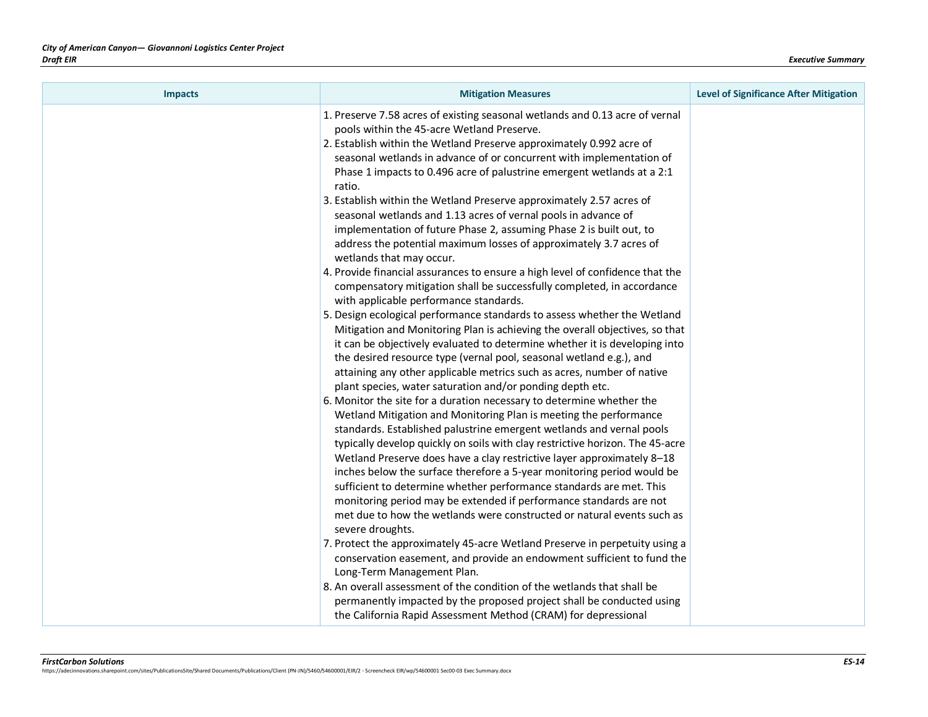| <b>Impacts</b> | <b>Mitigation Measures</b>                                                                                                                                                                                                                                                                                                                                                                                                                                                                                                                                                                                                                                                                                                                                                                                                                                                                                                                                                                                                                                                                                                                                                                                                                                                                                                                    | <b>Level of Significance After Mitigation</b> |
|----------------|-----------------------------------------------------------------------------------------------------------------------------------------------------------------------------------------------------------------------------------------------------------------------------------------------------------------------------------------------------------------------------------------------------------------------------------------------------------------------------------------------------------------------------------------------------------------------------------------------------------------------------------------------------------------------------------------------------------------------------------------------------------------------------------------------------------------------------------------------------------------------------------------------------------------------------------------------------------------------------------------------------------------------------------------------------------------------------------------------------------------------------------------------------------------------------------------------------------------------------------------------------------------------------------------------------------------------------------------------|-----------------------------------------------|
|                | 1. Preserve 7.58 acres of existing seasonal wetlands and 0.13 acre of vernal<br>pools within the 45-acre Wetland Preserve.<br>2. Establish within the Wetland Preserve approximately 0.992 acre of<br>seasonal wetlands in advance of or concurrent with implementation of<br>Phase 1 impacts to 0.496 acre of palustrine emergent wetlands at a 2:1<br>ratio.<br>3. Establish within the Wetland Preserve approximately 2.57 acres of<br>seasonal wetlands and 1.13 acres of vernal pools in advance of<br>implementation of future Phase 2, assuming Phase 2 is built out, to<br>address the potential maximum losses of approximately 3.7 acres of<br>wetlands that may occur.<br>4. Provide financial assurances to ensure a high level of confidence that the<br>compensatory mitigation shall be successfully completed, in accordance<br>with applicable performance standards.<br>5. Design ecological performance standards to assess whether the Wetland<br>Mitigation and Monitoring Plan is achieving the overall objectives, so that<br>it can be objectively evaluated to determine whether it is developing into<br>the desired resource type (vernal pool, seasonal wetland e.g.), and<br>attaining any other applicable metrics such as acres, number of native<br>plant species, water saturation and/or ponding depth etc. |                                               |
|                | 6. Monitor the site for a duration necessary to determine whether the<br>Wetland Mitigation and Monitoring Plan is meeting the performance<br>standards. Established palustrine emergent wetlands and vernal pools<br>typically develop quickly on soils with clay restrictive horizon. The 45-acre<br>Wetland Preserve does have a clay restrictive layer approximately 8-18<br>inches below the surface therefore a 5-year monitoring period would be<br>sufficient to determine whether performance standards are met. This<br>monitoring period may be extended if performance standards are not<br>met due to how the wetlands were constructed or natural events such as<br>severe droughts.<br>7. Protect the approximately 45-acre Wetland Preserve in perpetuity using a<br>conservation easement, and provide an endowment sufficient to fund the<br>Long-Term Management Plan.<br>8. An overall assessment of the condition of the wetlands that shall be<br>permanently impacted by the proposed project shall be conducted using<br>the California Rapid Assessment Method (CRAM) for depressional                                                                                                                                                                                                                               |                                               |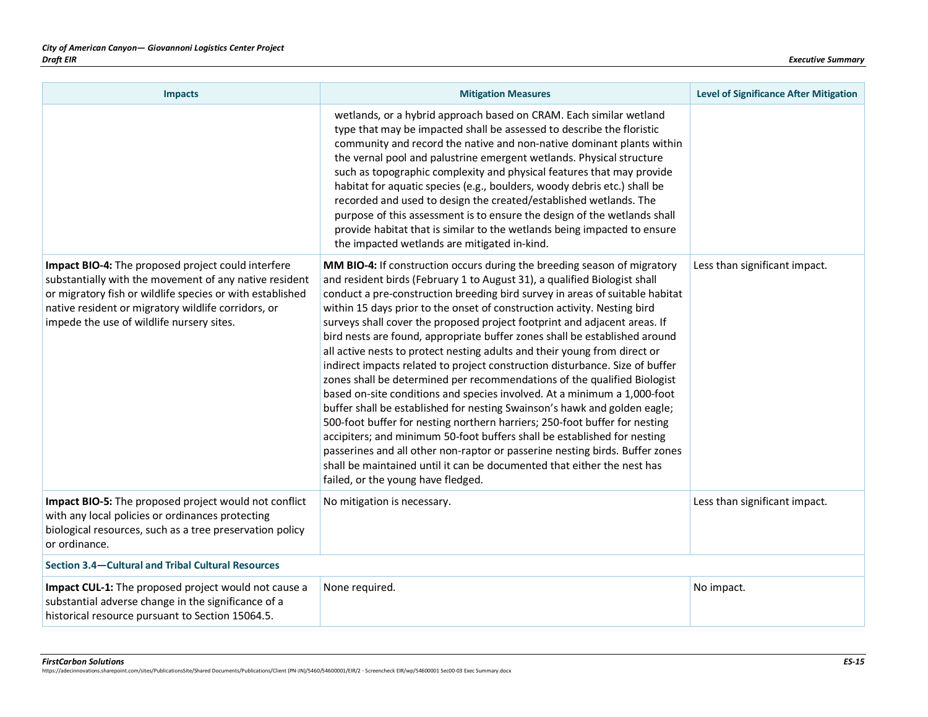| <b>Impacts</b>                                                                                                                                                                                                                                                                | <b>Mitigation Measures</b>                                                                                                                                                                                                                                                                                                                                                                                                                                                                                                                                                                                                                                                                                                                                                                                                                                                                                                                                                                                                                                                                                                                                                                                                                | <b>Level of Significance After Mitigation</b> |
|-------------------------------------------------------------------------------------------------------------------------------------------------------------------------------------------------------------------------------------------------------------------------------|-------------------------------------------------------------------------------------------------------------------------------------------------------------------------------------------------------------------------------------------------------------------------------------------------------------------------------------------------------------------------------------------------------------------------------------------------------------------------------------------------------------------------------------------------------------------------------------------------------------------------------------------------------------------------------------------------------------------------------------------------------------------------------------------------------------------------------------------------------------------------------------------------------------------------------------------------------------------------------------------------------------------------------------------------------------------------------------------------------------------------------------------------------------------------------------------------------------------------------------------|-----------------------------------------------|
|                                                                                                                                                                                                                                                                               | wetlands, or a hybrid approach based on CRAM. Each similar wetland<br>type that may be impacted shall be assessed to describe the floristic<br>community and record the native and non-native dominant plants within<br>the vernal pool and palustrine emergent wetlands. Physical structure<br>such as topographic complexity and physical features that may provide<br>habitat for aquatic species (e.g., boulders, woody debris etc.) shall be<br>recorded and used to design the created/established wetlands. The<br>purpose of this assessment is to ensure the design of the wetlands shall<br>provide habitat that is similar to the wetlands being impacted to ensure<br>the impacted wetlands are mitigated in-kind.                                                                                                                                                                                                                                                                                                                                                                                                                                                                                                            |                                               |
| Impact BIO-4: The proposed project could interfere<br>substantially with the movement of any native resident<br>or migratory fish or wildlife species or with established<br>native resident or migratory wildlife corridors, or<br>impede the use of wildlife nursery sites. | MM BIO-4: If construction occurs during the breeding season of migratory<br>and resident birds (February 1 to August 31), a qualified Biologist shall<br>conduct a pre-construction breeding bird survey in areas of suitable habitat<br>within 15 days prior to the onset of construction activity. Nesting bird<br>surveys shall cover the proposed project footprint and adjacent areas. If<br>bird nests are found, appropriate buffer zones shall be established around<br>all active nests to protect nesting adults and their young from direct or<br>indirect impacts related to project construction disturbance. Size of buffer<br>zones shall be determined per recommendations of the qualified Biologist<br>based on-site conditions and species involved. At a minimum a 1,000-foot<br>buffer shall be established for nesting Swainson's hawk and golden eagle;<br>500-foot buffer for nesting northern harriers; 250-foot buffer for nesting<br>accipiters; and minimum 50-foot buffers shall be established for nesting<br>passerines and all other non-raptor or passerine nesting birds. Buffer zones<br>shall be maintained until it can be documented that either the nest has<br>failed, or the young have fledged. | Less than significant impact.                 |
| Impact BIO-5: The proposed project would not conflict<br>with any local policies or ordinances protecting<br>biological resources, such as a tree preservation policy<br>or ordinance.                                                                                        | No mitigation is necessary.                                                                                                                                                                                                                                                                                                                                                                                                                                                                                                                                                                                                                                                                                                                                                                                                                                                                                                                                                                                                                                                                                                                                                                                                               | Less than significant impact.                 |
| Section 3.4-Cultural and Tribal Cultural Resources                                                                                                                                                                                                                            |                                                                                                                                                                                                                                                                                                                                                                                                                                                                                                                                                                                                                                                                                                                                                                                                                                                                                                                                                                                                                                                                                                                                                                                                                                           |                                               |
| Impact CUL-1: The proposed project would not cause a<br>substantial adverse change in the significance of a<br>historical resource pursuant to Section 15064.5.                                                                                                               | None required.                                                                                                                                                                                                                                                                                                                                                                                                                                                                                                                                                                                                                                                                                                                                                                                                                                                                                                                                                                                                                                                                                                                                                                                                                            | No impact.                                    |

*FirstCarbon Solutions ES-15* https://adecinnovations.sharepoint.com/sites/PublicationsSite/Shared Documents/Publications/Client (PN-JN)/5460/54600001/EIR/2 - Screencheck EIR/wp/54600001 Sec00-03 Exec Summary.docx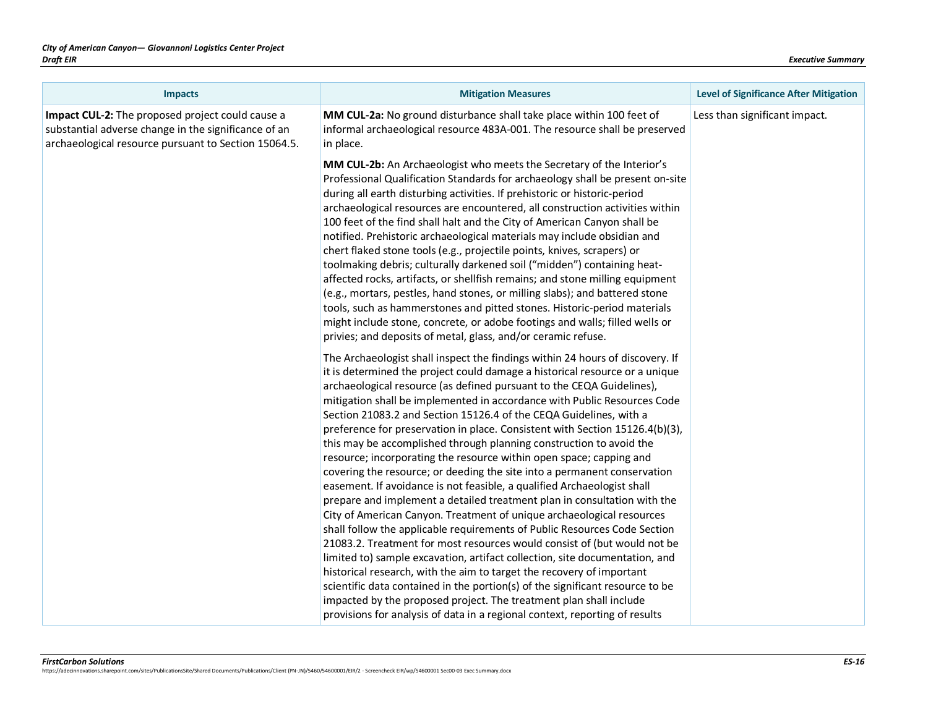| <b>Impacts</b>                                                                                                                                                   | <b>Mitigation Measures</b>                                                                                                                                                                                                                                                                                                                                                                                                                                                                                                                                                                                                                                                                                                                                                                                                                                                                                                                                                                                                                                                                                                                                                                                                                                                                                                          | <b>Level of Significance After Mitigation</b> |
|------------------------------------------------------------------------------------------------------------------------------------------------------------------|-------------------------------------------------------------------------------------------------------------------------------------------------------------------------------------------------------------------------------------------------------------------------------------------------------------------------------------------------------------------------------------------------------------------------------------------------------------------------------------------------------------------------------------------------------------------------------------------------------------------------------------------------------------------------------------------------------------------------------------------------------------------------------------------------------------------------------------------------------------------------------------------------------------------------------------------------------------------------------------------------------------------------------------------------------------------------------------------------------------------------------------------------------------------------------------------------------------------------------------------------------------------------------------------------------------------------------------|-----------------------------------------------|
| Impact CUL-2: The proposed project could cause a<br>substantial adverse change in the significance of an<br>archaeological resource pursuant to Section 15064.5. | MM CUL-2a: No ground disturbance shall take place within 100 feet of<br>informal archaeological resource 483A-001. The resource shall be preserved<br>in place.                                                                                                                                                                                                                                                                                                                                                                                                                                                                                                                                                                                                                                                                                                                                                                                                                                                                                                                                                                                                                                                                                                                                                                     | Less than significant impact.                 |
|                                                                                                                                                                  | MM CUL-2b: An Archaeologist who meets the Secretary of the Interior's<br>Professional Qualification Standards for archaeology shall be present on-site<br>during all earth disturbing activities. If prehistoric or historic-period<br>archaeological resources are encountered, all construction activities within<br>100 feet of the find shall halt and the City of American Canyon shall be<br>notified. Prehistoric archaeological materials may include obsidian and<br>chert flaked stone tools (e.g., projectile points, knives, scrapers) or<br>toolmaking debris; culturally darkened soil ("midden") containing heat-<br>affected rocks, artifacts, or shellfish remains; and stone milling equipment<br>(e.g., mortars, pestles, hand stones, or milling slabs); and battered stone<br>tools, such as hammerstones and pitted stones. Historic-period materials<br>might include stone, concrete, or adobe footings and walls; filled wells or<br>privies; and deposits of metal, glass, and/or ceramic refuse.                                                                                                                                                                                                                                                                                                         |                                               |
|                                                                                                                                                                  | The Archaeologist shall inspect the findings within 24 hours of discovery. If<br>it is determined the project could damage a historical resource or a unique<br>archaeological resource (as defined pursuant to the CEQA Guidelines),<br>mitigation shall be implemented in accordance with Public Resources Code<br>Section 21083.2 and Section 15126.4 of the CEQA Guidelines, with a<br>preference for preservation in place. Consistent with Section 15126.4(b)(3),<br>this may be accomplished through planning construction to avoid the<br>resource; incorporating the resource within open space; capping and<br>covering the resource; or deeding the site into a permanent conservation<br>easement. If avoidance is not feasible, a qualified Archaeologist shall<br>prepare and implement a detailed treatment plan in consultation with the<br>City of American Canyon. Treatment of unique archaeological resources<br>shall follow the applicable requirements of Public Resources Code Section<br>21083.2. Treatment for most resources would consist of (but would not be<br>limited to) sample excavation, artifact collection, site documentation, and<br>historical research, with the aim to target the recovery of important<br>scientific data contained in the portion(s) of the significant resource to be |                                               |
|                                                                                                                                                                  | impacted by the proposed project. The treatment plan shall include<br>provisions for analysis of data in a regional context, reporting of results                                                                                                                                                                                                                                                                                                                                                                                                                                                                                                                                                                                                                                                                                                                                                                                                                                                                                                                                                                                                                                                                                                                                                                                   |                                               |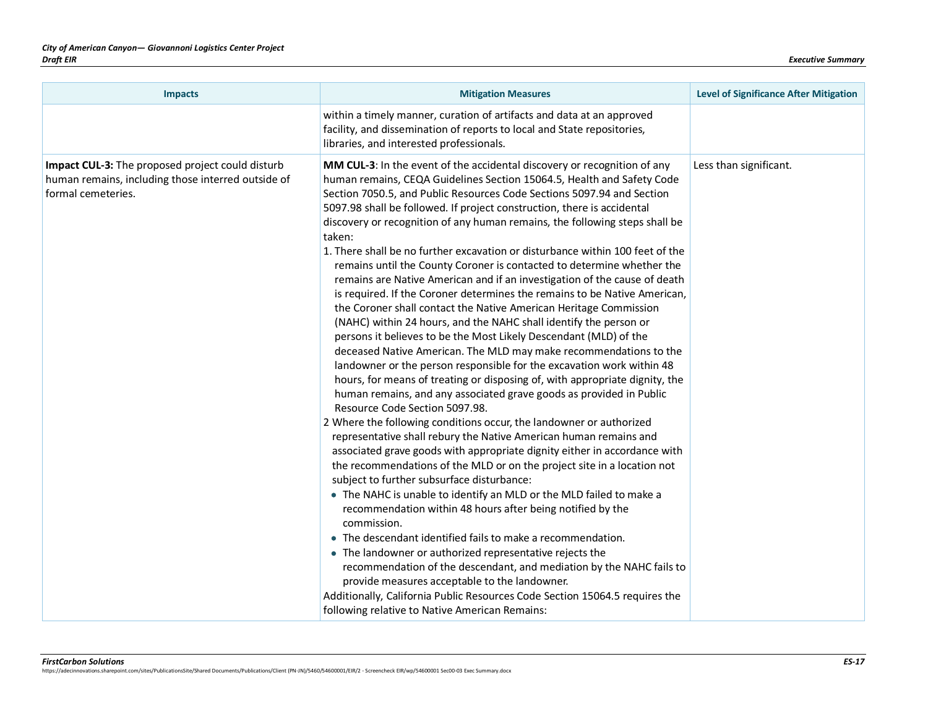| <b>Impacts</b>                                                                                                               | <b>Mitigation Measures</b>                                                                                                                                                                                                                                                                                                                                                                                                                                                                                                                                                                                                                                                                                                                                                                                                                                                                                                                                                                                                                                                                                                                                                                                                                                                                                                                                                                                                                                                                                                                                                                                                                                                                                                                                                                                                                                                                                                                                                                                                                                                                                                                                            | <b>Level of Significance After Mitigation</b> |
|------------------------------------------------------------------------------------------------------------------------------|-----------------------------------------------------------------------------------------------------------------------------------------------------------------------------------------------------------------------------------------------------------------------------------------------------------------------------------------------------------------------------------------------------------------------------------------------------------------------------------------------------------------------------------------------------------------------------------------------------------------------------------------------------------------------------------------------------------------------------------------------------------------------------------------------------------------------------------------------------------------------------------------------------------------------------------------------------------------------------------------------------------------------------------------------------------------------------------------------------------------------------------------------------------------------------------------------------------------------------------------------------------------------------------------------------------------------------------------------------------------------------------------------------------------------------------------------------------------------------------------------------------------------------------------------------------------------------------------------------------------------------------------------------------------------------------------------------------------------------------------------------------------------------------------------------------------------------------------------------------------------------------------------------------------------------------------------------------------------------------------------------------------------------------------------------------------------------------------------------------------------------------------------------------------------|-----------------------------------------------|
|                                                                                                                              | within a timely manner, curation of artifacts and data at an approved<br>facility, and dissemination of reports to local and State repositories,<br>libraries, and interested professionals.                                                                                                                                                                                                                                                                                                                                                                                                                                                                                                                                                                                                                                                                                                                                                                                                                                                                                                                                                                                                                                                                                                                                                                                                                                                                                                                                                                                                                                                                                                                                                                                                                                                                                                                                                                                                                                                                                                                                                                          |                                               |
| Impact CUL-3: The proposed project could disturb<br>human remains, including those interred outside of<br>formal cemeteries. | MM CUL-3: In the event of the accidental discovery or recognition of any<br>human remains, CEQA Guidelines Section 15064.5, Health and Safety Code<br>Section 7050.5, and Public Resources Code Sections 5097.94 and Section<br>5097.98 shall be followed. If project construction, there is accidental<br>discovery or recognition of any human remains, the following steps shall be<br>taken:<br>1. There shall be no further excavation or disturbance within 100 feet of the<br>remains until the County Coroner is contacted to determine whether the<br>remains are Native American and if an investigation of the cause of death<br>is required. If the Coroner determines the remains to be Native American,<br>the Coroner shall contact the Native American Heritage Commission<br>(NAHC) within 24 hours, and the NAHC shall identify the person or<br>persons it believes to be the Most Likely Descendant (MLD) of the<br>deceased Native American. The MLD may make recommendations to the<br>landowner or the person responsible for the excavation work within 48<br>hours, for means of treating or disposing of, with appropriate dignity, the<br>human remains, and any associated grave goods as provided in Public<br>Resource Code Section 5097.98.<br>2 Where the following conditions occur, the landowner or authorized<br>representative shall rebury the Native American human remains and<br>associated grave goods with appropriate dignity either in accordance with<br>the recommendations of the MLD or on the project site in a location not<br>subject to further subsurface disturbance:<br>• The NAHC is unable to identify an MLD or the MLD failed to make a<br>recommendation within 48 hours after being notified by the<br>commission.<br>• The descendant identified fails to make a recommendation.<br>• The landowner or authorized representative rejects the<br>recommendation of the descendant, and mediation by the NAHC fails to<br>provide measures acceptable to the landowner.<br>Additionally, California Public Resources Code Section 15064.5 requires the<br>following relative to Native American Remains: | Less than significant.                        |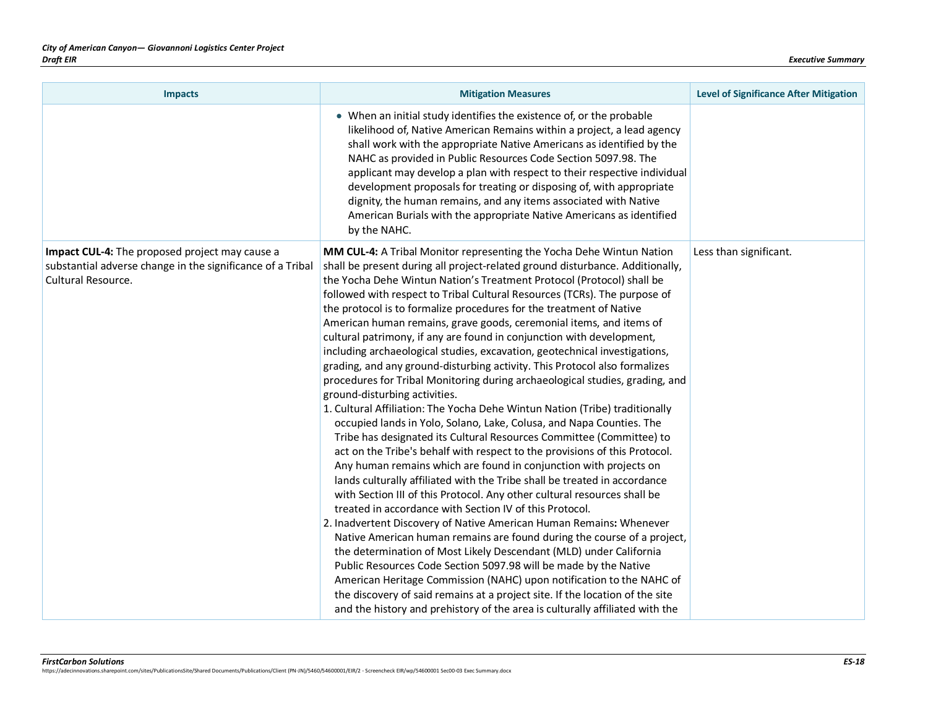| <b>Impacts</b>                                                                                                                     | <b>Mitigation Measures</b>                                                                                                                                                                                                                                                                                                                                                                                                                                                                                                                                                                                                                                                                                                                                                                                                                                                                                                                                                                                                                                                                                                                                                                                                                                                                                                                                                                                                                                                                                                                                                                                                                                                                                                                                                                                                                                                                                                                                | <b>Level of Significance After Mitigation</b> |
|------------------------------------------------------------------------------------------------------------------------------------|-----------------------------------------------------------------------------------------------------------------------------------------------------------------------------------------------------------------------------------------------------------------------------------------------------------------------------------------------------------------------------------------------------------------------------------------------------------------------------------------------------------------------------------------------------------------------------------------------------------------------------------------------------------------------------------------------------------------------------------------------------------------------------------------------------------------------------------------------------------------------------------------------------------------------------------------------------------------------------------------------------------------------------------------------------------------------------------------------------------------------------------------------------------------------------------------------------------------------------------------------------------------------------------------------------------------------------------------------------------------------------------------------------------------------------------------------------------------------------------------------------------------------------------------------------------------------------------------------------------------------------------------------------------------------------------------------------------------------------------------------------------------------------------------------------------------------------------------------------------------------------------------------------------------------------------------------------------|-----------------------------------------------|
|                                                                                                                                    | • When an initial study identifies the existence of, or the probable<br>likelihood of, Native American Remains within a project, a lead agency<br>shall work with the appropriate Native Americans as identified by the<br>NAHC as provided in Public Resources Code Section 5097.98. The<br>applicant may develop a plan with respect to their respective individual<br>development proposals for treating or disposing of, with appropriate<br>dignity, the human remains, and any items associated with Native<br>American Burials with the appropriate Native Americans as identified<br>by the NAHC.                                                                                                                                                                                                                                                                                                                                                                                                                                                                                                                                                                                                                                                                                                                                                                                                                                                                                                                                                                                                                                                                                                                                                                                                                                                                                                                                                 |                                               |
| Impact CUL-4: The proposed project may cause a<br>substantial adverse change in the significance of a Tribal<br>Cultural Resource. | MM CUL-4: A Tribal Monitor representing the Yocha Dehe Wintun Nation<br>shall be present during all project-related ground disturbance. Additionally,<br>the Yocha Dehe Wintun Nation's Treatment Protocol (Protocol) shall be<br>followed with respect to Tribal Cultural Resources (TCRs). The purpose of<br>the protocol is to formalize procedures for the treatment of Native<br>American human remains, grave goods, ceremonial items, and items of<br>cultural patrimony, if any are found in conjunction with development,<br>including archaeological studies, excavation, geotechnical investigations,<br>grading, and any ground-disturbing activity. This Protocol also formalizes<br>procedures for Tribal Monitoring during archaeological studies, grading, and<br>ground-disturbing activities.<br>1. Cultural Affiliation: The Yocha Dehe Wintun Nation (Tribe) traditionally<br>occupied lands in Yolo, Solano, Lake, Colusa, and Napa Counties. The<br>Tribe has designated its Cultural Resources Committee (Committee) to<br>act on the Tribe's behalf with respect to the provisions of this Protocol.<br>Any human remains which are found in conjunction with projects on<br>lands culturally affiliated with the Tribe shall be treated in accordance<br>with Section III of this Protocol. Any other cultural resources shall be<br>treated in accordance with Section IV of this Protocol.<br>2. Inadvertent Discovery of Native American Human Remains: Whenever<br>Native American human remains are found during the course of a project,<br>the determination of Most Likely Descendant (MLD) under California<br>Public Resources Code Section 5097.98 will be made by the Native<br>American Heritage Commission (NAHC) upon notification to the NAHC of<br>the discovery of said remains at a project site. If the location of the site<br>and the history and prehistory of the area is culturally affiliated with the | Less than significant.                        |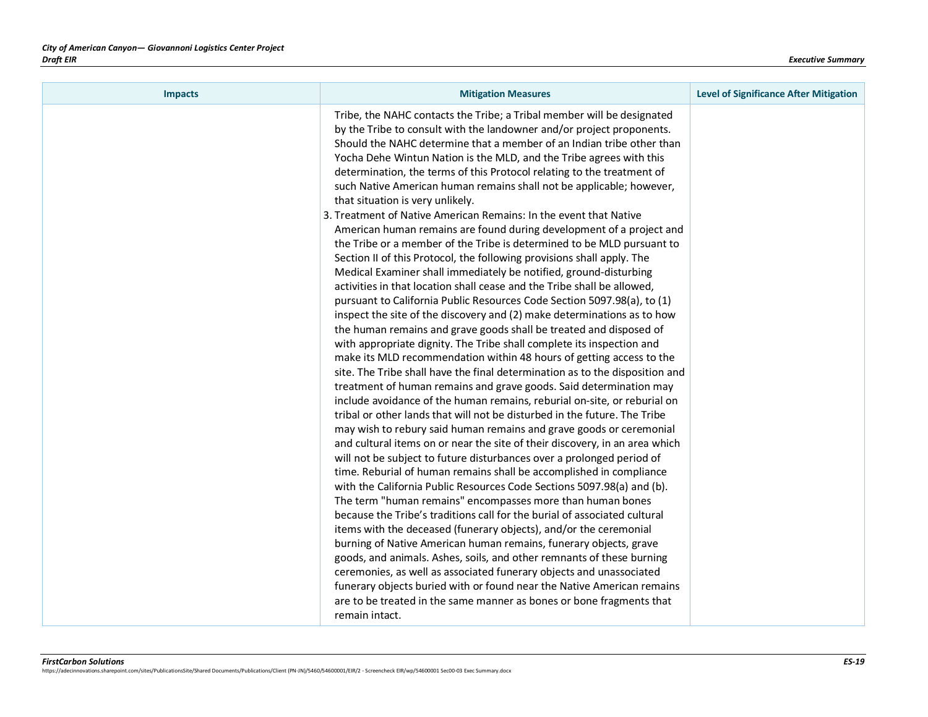| <b>Impacts</b> | <b>Mitigation Measures</b>                                                                                                                                                                                                                                                                                                                                                                                                                                                                                                                                                                                                                                                                                                                                                                                                                                                                                                                                                                                                                                                                                                                                                                                                                                                                                                                                                                                                                                                                                                                                                                                                                                                                                                                                                                                                                                                                                                                                                                                                                                                                                                                                                                                                                                                                                                                                                                                                                                                                                                                                                                                                  | <b>Level of Significance After Mitigation</b> |
|----------------|-----------------------------------------------------------------------------------------------------------------------------------------------------------------------------------------------------------------------------------------------------------------------------------------------------------------------------------------------------------------------------------------------------------------------------------------------------------------------------------------------------------------------------------------------------------------------------------------------------------------------------------------------------------------------------------------------------------------------------------------------------------------------------------------------------------------------------------------------------------------------------------------------------------------------------------------------------------------------------------------------------------------------------------------------------------------------------------------------------------------------------------------------------------------------------------------------------------------------------------------------------------------------------------------------------------------------------------------------------------------------------------------------------------------------------------------------------------------------------------------------------------------------------------------------------------------------------------------------------------------------------------------------------------------------------------------------------------------------------------------------------------------------------------------------------------------------------------------------------------------------------------------------------------------------------------------------------------------------------------------------------------------------------------------------------------------------------------------------------------------------------------------------------------------------------------------------------------------------------------------------------------------------------------------------------------------------------------------------------------------------------------------------------------------------------------------------------------------------------------------------------------------------------------------------------------------------------------------------------------------------------|-----------------------------------------------|
|                | Tribe, the NAHC contacts the Tribe; a Tribal member will be designated<br>by the Tribe to consult with the landowner and/or project proponents.<br>Should the NAHC determine that a member of an Indian tribe other than<br>Yocha Dehe Wintun Nation is the MLD, and the Tribe agrees with this<br>determination, the terms of this Protocol relating to the treatment of<br>such Native American human remains shall not be applicable; however,<br>that situation is very unlikely.<br>3. Treatment of Native American Remains: In the event that Native<br>American human remains are found during development of a project and<br>the Tribe or a member of the Tribe is determined to be MLD pursuant to<br>Section II of this Protocol, the following provisions shall apply. The<br>Medical Examiner shall immediately be notified, ground-disturbing<br>activities in that location shall cease and the Tribe shall be allowed,<br>pursuant to California Public Resources Code Section 5097.98(a), to (1)<br>inspect the site of the discovery and (2) make determinations as to how<br>the human remains and grave goods shall be treated and disposed of<br>with appropriate dignity. The Tribe shall complete its inspection and<br>make its MLD recommendation within 48 hours of getting access to the<br>site. The Tribe shall have the final determination as to the disposition and<br>treatment of human remains and grave goods. Said determination may<br>include avoidance of the human remains, reburial on-site, or reburial on<br>tribal or other lands that will not be disturbed in the future. The Tribe<br>may wish to rebury said human remains and grave goods or ceremonial<br>and cultural items on or near the site of their discovery, in an area which<br>will not be subject to future disturbances over a prolonged period of<br>time. Reburial of human remains shall be accomplished in compliance<br>with the California Public Resources Code Sections 5097.98(a) and (b).<br>The term "human remains" encompasses more than human bones<br>because the Tribe's traditions call for the burial of associated cultural<br>items with the deceased (funerary objects), and/or the ceremonial<br>burning of Native American human remains, funerary objects, grave<br>goods, and animals. Ashes, soils, and other remnants of these burning<br>ceremonies, as well as associated funerary objects and unassociated<br>funerary objects buried with or found near the Native American remains<br>are to be treated in the same manner as bones or bone fragments that<br>remain intact. |                                               |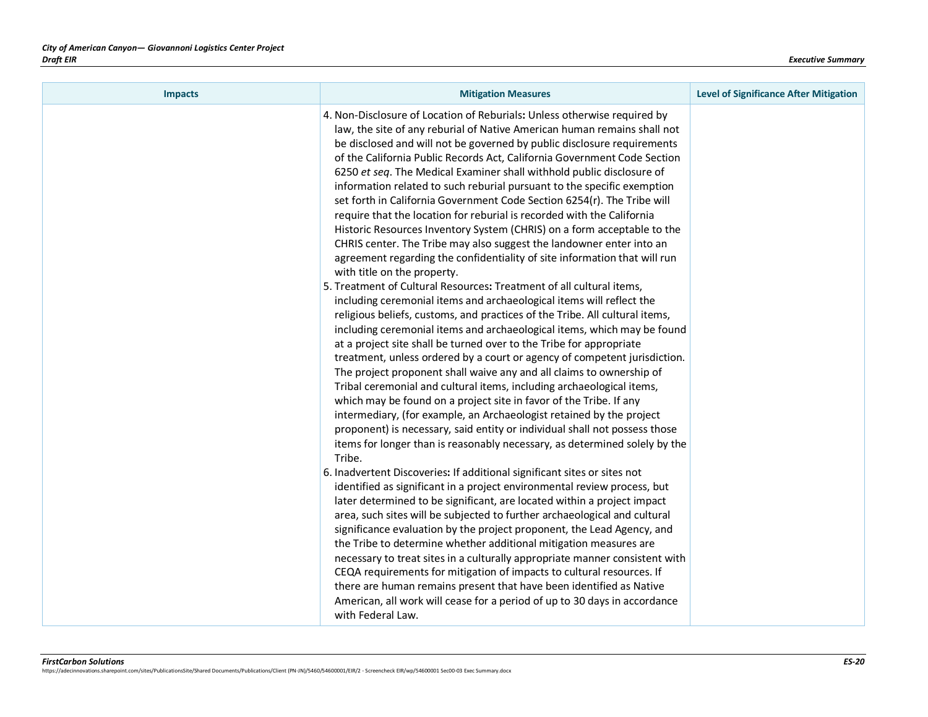| <b>Impacts</b> | <b>Mitigation Measures</b>                                                                                                                                                                                                                                                                                                                                                                                                                                                                                                                                                                                                                                                                                                                                                                                                                                                                                                                                                                                                                                                                                                                                                                                                                                                                                                                                                                                                                                                                                                                                                                                                                                                                                                                                                                                                                                                                                                                                                                                                                                                                                                                                                                                                                                                                                                                                                                                                                                                                                                                                                                                             | <b>Level of Significance After Mitigation</b> |
|----------------|------------------------------------------------------------------------------------------------------------------------------------------------------------------------------------------------------------------------------------------------------------------------------------------------------------------------------------------------------------------------------------------------------------------------------------------------------------------------------------------------------------------------------------------------------------------------------------------------------------------------------------------------------------------------------------------------------------------------------------------------------------------------------------------------------------------------------------------------------------------------------------------------------------------------------------------------------------------------------------------------------------------------------------------------------------------------------------------------------------------------------------------------------------------------------------------------------------------------------------------------------------------------------------------------------------------------------------------------------------------------------------------------------------------------------------------------------------------------------------------------------------------------------------------------------------------------------------------------------------------------------------------------------------------------------------------------------------------------------------------------------------------------------------------------------------------------------------------------------------------------------------------------------------------------------------------------------------------------------------------------------------------------------------------------------------------------------------------------------------------------------------------------------------------------------------------------------------------------------------------------------------------------------------------------------------------------------------------------------------------------------------------------------------------------------------------------------------------------------------------------------------------------------------------------------------------------------------------------------------------------|-----------------------------------------------|
|                | 4. Non-Disclosure of Location of Reburials: Unless otherwise required by<br>law, the site of any reburial of Native American human remains shall not<br>be disclosed and will not be governed by public disclosure requirements<br>of the California Public Records Act, California Government Code Section<br>6250 et seq. The Medical Examiner shall withhold public disclosure of<br>information related to such reburial pursuant to the specific exemption<br>set forth in California Government Code Section 6254(r). The Tribe will<br>require that the location for reburial is recorded with the California<br>Historic Resources Inventory System (CHRIS) on a form acceptable to the<br>CHRIS center. The Tribe may also suggest the landowner enter into an<br>agreement regarding the confidentiality of site information that will run<br>with title on the property.<br>5. Treatment of Cultural Resources: Treatment of all cultural items,<br>including ceremonial items and archaeological items will reflect the<br>religious beliefs, customs, and practices of the Tribe. All cultural items,<br>including ceremonial items and archaeological items, which may be found<br>at a project site shall be turned over to the Tribe for appropriate<br>treatment, unless ordered by a court or agency of competent jurisdiction.<br>The project proponent shall waive any and all claims to ownership of<br>Tribal ceremonial and cultural items, including archaeological items,<br>which may be found on a project site in favor of the Tribe. If any<br>intermediary, (for example, an Archaeologist retained by the project<br>proponent) is necessary, said entity or individual shall not possess those<br>items for longer than is reasonably necessary, as determined solely by the<br>Tribe.<br>6. Inadvertent Discoveries: If additional significant sites or sites not<br>identified as significant in a project environmental review process, but<br>later determined to be significant, are located within a project impact<br>area, such sites will be subjected to further archaeological and cultural<br>significance evaluation by the project proponent, the Lead Agency, and<br>the Tribe to determine whether additional mitigation measures are<br>necessary to treat sites in a culturally appropriate manner consistent with<br>CEQA requirements for mitigation of impacts to cultural resources. If<br>there are human remains present that have been identified as Native<br>American, all work will cease for a period of up to 30 days in accordance<br>with Federal Law. |                                               |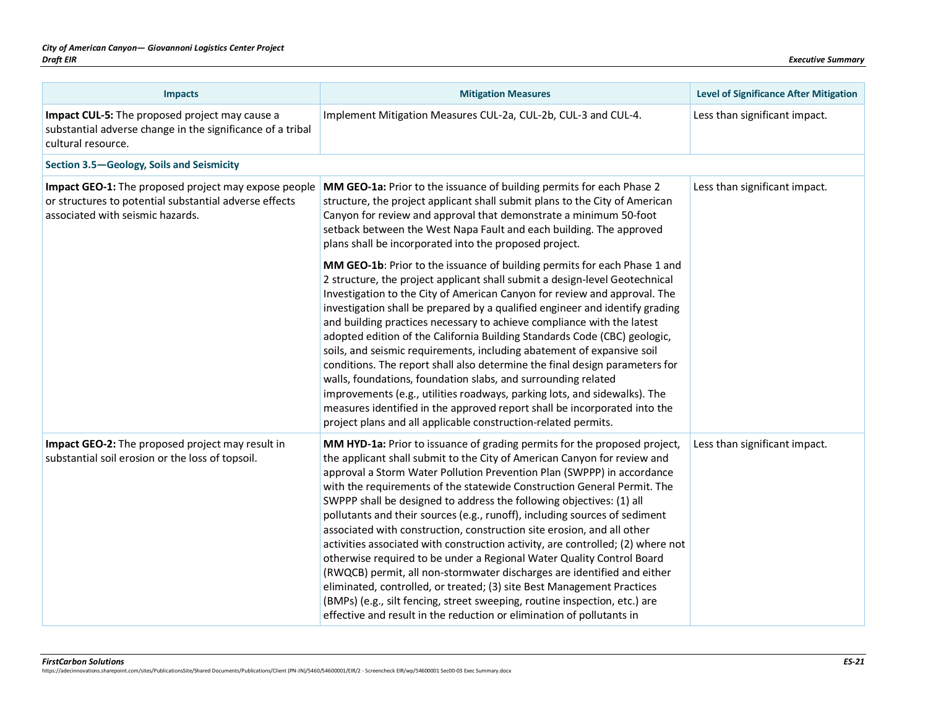| <b>Impacts</b>                                                                                                                                     | <b>Mitigation Measures</b>                                                                                                                                                                                                                                                                                                                                                                                                                                                                                                                                                                                                                                                                                                                                                                                                                                                                                                                                                                                                                                                                                                                                                                                                                                                                       | <b>Level of Significance After Mitigation</b> |
|----------------------------------------------------------------------------------------------------------------------------------------------------|--------------------------------------------------------------------------------------------------------------------------------------------------------------------------------------------------------------------------------------------------------------------------------------------------------------------------------------------------------------------------------------------------------------------------------------------------------------------------------------------------------------------------------------------------------------------------------------------------------------------------------------------------------------------------------------------------------------------------------------------------------------------------------------------------------------------------------------------------------------------------------------------------------------------------------------------------------------------------------------------------------------------------------------------------------------------------------------------------------------------------------------------------------------------------------------------------------------------------------------------------------------------------------------------------|-----------------------------------------------|
| Impact CUL-5: The proposed project may cause a<br>substantial adverse change in the significance of a tribal<br>cultural resource.                 | Implement Mitigation Measures CUL-2a, CUL-2b, CUL-3 and CUL-4.                                                                                                                                                                                                                                                                                                                                                                                                                                                                                                                                                                                                                                                                                                                                                                                                                                                                                                                                                                                                                                                                                                                                                                                                                                   | Less than significant impact.                 |
| Section 3.5-Geology, Soils and Seismicity                                                                                                          |                                                                                                                                                                                                                                                                                                                                                                                                                                                                                                                                                                                                                                                                                                                                                                                                                                                                                                                                                                                                                                                                                                                                                                                                                                                                                                  |                                               |
| Impact GEO-1: The proposed project may expose people<br>or structures to potential substantial adverse effects<br>associated with seismic hazards. | MM GEO-1a: Prior to the issuance of building permits for each Phase 2<br>structure, the project applicant shall submit plans to the City of American<br>Canyon for review and approval that demonstrate a minimum 50-foot<br>setback between the West Napa Fault and each building. The approved<br>plans shall be incorporated into the proposed project.<br>MM GEO-1b: Prior to the issuance of building permits for each Phase 1 and<br>2 structure, the project applicant shall submit a design-level Geotechnical<br>Investigation to the City of American Canyon for review and approval. The<br>investigation shall be prepared by a qualified engineer and identify grading<br>and building practices necessary to achieve compliance with the latest<br>adopted edition of the California Building Standards Code (CBC) geologic,<br>soils, and seismic requirements, including abatement of expansive soil<br>conditions. The report shall also determine the final design parameters for<br>walls, foundations, foundation slabs, and surrounding related<br>improvements (e.g., utilities roadways, parking lots, and sidewalks). The<br>measures identified in the approved report shall be incorporated into the<br>project plans and all applicable construction-related permits. | Less than significant impact.                 |
| Impact GEO-2: The proposed project may result in<br>substantial soil erosion or the loss of topsoil.                                               | MM HYD-1a: Prior to issuance of grading permits for the proposed project,<br>the applicant shall submit to the City of American Canyon for review and<br>approval a Storm Water Pollution Prevention Plan (SWPPP) in accordance<br>with the requirements of the statewide Construction General Permit. The<br>SWPPP shall be designed to address the following objectives: (1) all<br>pollutants and their sources (e.g., runoff), including sources of sediment<br>associated with construction, construction site erosion, and all other<br>activities associated with construction activity, are controlled; (2) where not<br>otherwise required to be under a Regional Water Quality Control Board<br>(RWQCB) permit, all non-stormwater discharges are identified and either<br>eliminated, controlled, or treated; (3) site Best Management Practices<br>(BMPs) (e.g., silt fencing, street sweeping, routine inspection, etc.) are<br>effective and result in the reduction or elimination of pollutants in                                                                                                                                                                                                                                                                               | Less than significant impact.                 |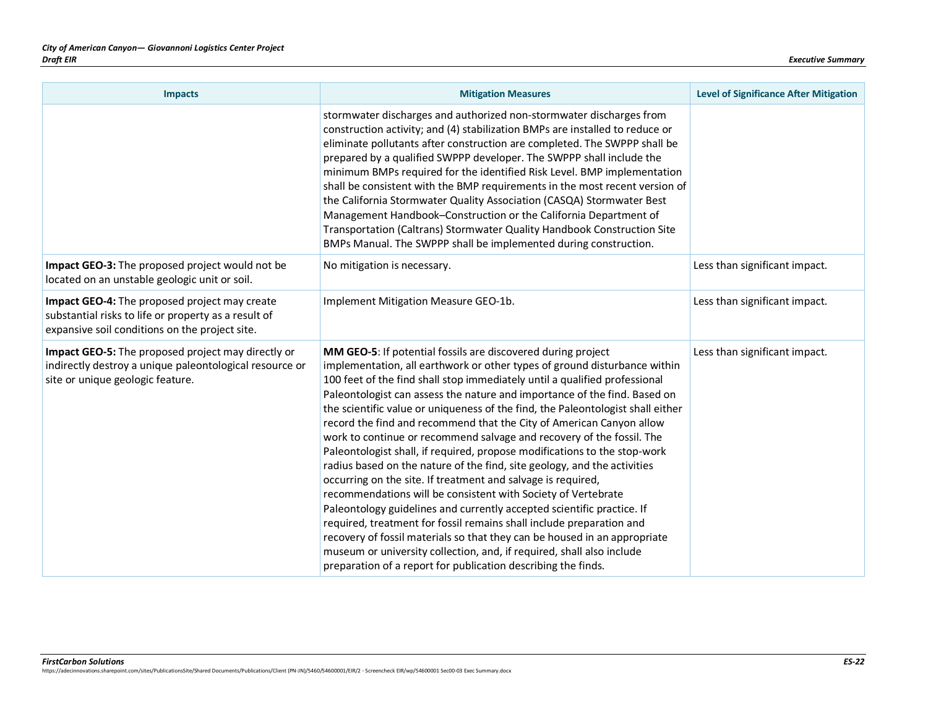| <b>Impacts</b>                                                                                                                                          | <b>Mitigation Measures</b>                                                                                                                                                                                                                                                                                                                                                                                                                                                                                                                                                                                                                                                                                                                                                                                                                                                                                                                                                                                                                                                                                                                                                                                  | <b>Level of Significance After Mitigation</b> |
|---------------------------------------------------------------------------------------------------------------------------------------------------------|-------------------------------------------------------------------------------------------------------------------------------------------------------------------------------------------------------------------------------------------------------------------------------------------------------------------------------------------------------------------------------------------------------------------------------------------------------------------------------------------------------------------------------------------------------------------------------------------------------------------------------------------------------------------------------------------------------------------------------------------------------------------------------------------------------------------------------------------------------------------------------------------------------------------------------------------------------------------------------------------------------------------------------------------------------------------------------------------------------------------------------------------------------------------------------------------------------------|-----------------------------------------------|
|                                                                                                                                                         | stormwater discharges and authorized non-stormwater discharges from<br>construction activity; and (4) stabilization BMPs are installed to reduce or<br>eliminate pollutants after construction are completed. The SWPPP shall be<br>prepared by a qualified SWPPP developer. The SWPPP shall include the<br>minimum BMPs required for the identified Risk Level. BMP implementation<br>shall be consistent with the BMP requirements in the most recent version of<br>the California Stormwater Quality Association (CASQA) Stormwater Best<br>Management Handbook-Construction or the California Department of<br>Transportation (Caltrans) Stormwater Quality Handbook Construction Site<br>BMPs Manual. The SWPPP shall be implemented during construction.                                                                                                                                                                                                                                                                                                                                                                                                                                              |                                               |
| Impact GEO-3: The proposed project would not be<br>located on an unstable geologic unit or soil.                                                        | No mitigation is necessary.                                                                                                                                                                                                                                                                                                                                                                                                                                                                                                                                                                                                                                                                                                                                                                                                                                                                                                                                                                                                                                                                                                                                                                                 | Less than significant impact.                 |
| Impact GEO-4: The proposed project may create<br>substantial risks to life or property as a result of<br>expansive soil conditions on the project site. | Implement Mitigation Measure GEO-1b.                                                                                                                                                                                                                                                                                                                                                                                                                                                                                                                                                                                                                                                                                                                                                                                                                                                                                                                                                                                                                                                                                                                                                                        | Less than significant impact.                 |
| Impact GEO-5: The proposed project may directly or<br>indirectly destroy a unique paleontological resource or<br>site or unique geologic feature.       | MM GEO-5: If potential fossils are discovered during project<br>implementation, all earthwork or other types of ground disturbance within<br>100 feet of the find shall stop immediately until a qualified professional<br>Paleontologist can assess the nature and importance of the find. Based on<br>the scientific value or uniqueness of the find, the Paleontologist shall either<br>record the find and recommend that the City of American Canyon allow<br>work to continue or recommend salvage and recovery of the fossil. The<br>Paleontologist shall, if required, propose modifications to the stop-work<br>radius based on the nature of the find, site geology, and the activities<br>occurring on the site. If treatment and salvage is required,<br>recommendations will be consistent with Society of Vertebrate<br>Paleontology guidelines and currently accepted scientific practice. If<br>required, treatment for fossil remains shall include preparation and<br>recovery of fossil materials so that they can be housed in an appropriate<br>museum or university collection, and, if required, shall also include<br>preparation of a report for publication describing the finds. | Less than significant impact.                 |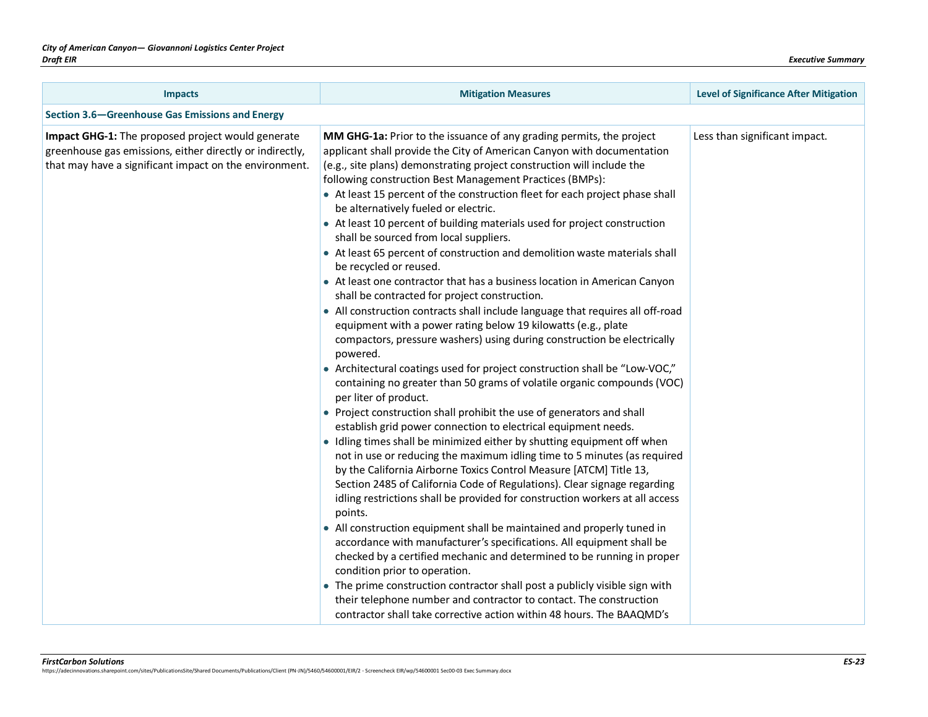| <b>Impacts</b>                                                                                                                                                          | <b>Mitigation Measures</b>                                                                                                                                                                                                                                                                                                                                                                                                                                                                                                                                                                                                                                                                                                                                                                                                                                                                                                                                                                                                                                                                                                                                                                                                                                                                                                                                                                                                                                                                                                                                                                                                                                                                                                                                                                                                                                                                              | <b>Level of Significance After Mitigation</b> |
|-------------------------------------------------------------------------------------------------------------------------------------------------------------------------|---------------------------------------------------------------------------------------------------------------------------------------------------------------------------------------------------------------------------------------------------------------------------------------------------------------------------------------------------------------------------------------------------------------------------------------------------------------------------------------------------------------------------------------------------------------------------------------------------------------------------------------------------------------------------------------------------------------------------------------------------------------------------------------------------------------------------------------------------------------------------------------------------------------------------------------------------------------------------------------------------------------------------------------------------------------------------------------------------------------------------------------------------------------------------------------------------------------------------------------------------------------------------------------------------------------------------------------------------------------------------------------------------------------------------------------------------------------------------------------------------------------------------------------------------------------------------------------------------------------------------------------------------------------------------------------------------------------------------------------------------------------------------------------------------------------------------------------------------------------------------------------------------------|-----------------------------------------------|
| Section 3.6–Greenhouse Gas Emissions and Energy                                                                                                                         |                                                                                                                                                                                                                                                                                                                                                                                                                                                                                                                                                                                                                                                                                                                                                                                                                                                                                                                                                                                                                                                                                                                                                                                                                                                                                                                                                                                                                                                                                                                                                                                                                                                                                                                                                                                                                                                                                                         |                                               |
| Impact GHG-1: The proposed project would generate<br>greenhouse gas emissions, either directly or indirectly,<br>that may have a significant impact on the environment. | MM GHG-1a: Prior to the issuance of any grading permits, the project<br>applicant shall provide the City of American Canyon with documentation<br>(e.g., site plans) demonstrating project construction will include the<br>following construction Best Management Practices (BMPs):<br>• At least 15 percent of the construction fleet for each project phase shall<br>be alternatively fueled or electric.<br>• At least 10 percent of building materials used for project construction<br>shall be sourced from local suppliers.<br>• At least 65 percent of construction and demolition waste materials shall<br>be recycled or reused.<br>• At least one contractor that has a business location in American Canyon<br>shall be contracted for project construction.<br>• All construction contracts shall include language that requires all off-road<br>equipment with a power rating below 19 kilowatts (e.g., plate<br>compactors, pressure washers) using during construction be electrically<br>powered.<br>• Architectural coatings used for project construction shall be "Low-VOC,"<br>containing no greater than 50 grams of volatile organic compounds (VOC)<br>per liter of product.<br>• Project construction shall prohibit the use of generators and shall<br>establish grid power connection to electrical equipment needs.<br>• Idling times shall be minimized either by shutting equipment off when<br>not in use or reducing the maximum idling time to 5 minutes (as required<br>by the California Airborne Toxics Control Measure [ATCM] Title 13,<br>Section 2485 of California Code of Regulations). Clear signage regarding<br>idling restrictions shall be provided for construction workers at all access<br>points.<br>• All construction equipment shall be maintained and properly tuned in<br>accordance with manufacturer's specifications. All equipment shall be | Less than significant impact.                 |
|                                                                                                                                                                         | checked by a certified mechanic and determined to be running in proper<br>condition prior to operation.                                                                                                                                                                                                                                                                                                                                                                                                                                                                                                                                                                                                                                                                                                                                                                                                                                                                                                                                                                                                                                                                                                                                                                                                                                                                                                                                                                                                                                                                                                                                                                                                                                                                                                                                                                                                 |                                               |
|                                                                                                                                                                         | • The prime construction contractor shall post a publicly visible sign with<br>their telephone number and contractor to contact. The construction<br>contractor shall take corrective action within 48 hours. The BAAQMD's                                                                                                                                                                                                                                                                                                                                                                                                                                                                                                                                                                                                                                                                                                                                                                                                                                                                                                                                                                                                                                                                                                                                                                                                                                                                                                                                                                                                                                                                                                                                                                                                                                                                              |                                               |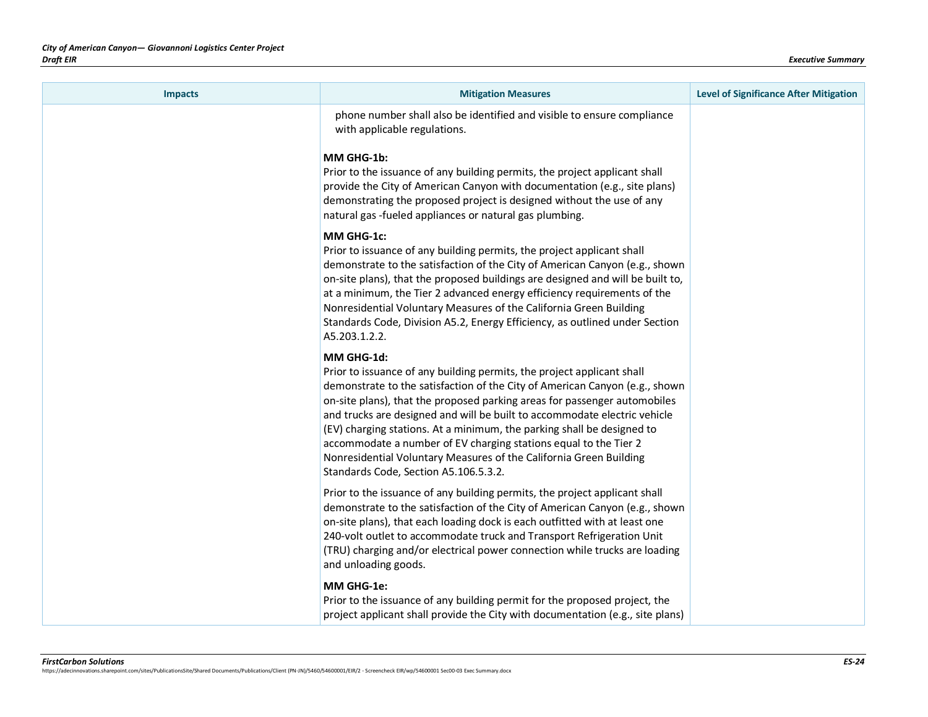| <b>Impacts</b> | <b>Mitigation Measures</b>                                                                                                                                                                                                                                                                                                                                                                                                                                                                                                                                                                 | <b>Level of Significance After Mitigation</b> |
|----------------|--------------------------------------------------------------------------------------------------------------------------------------------------------------------------------------------------------------------------------------------------------------------------------------------------------------------------------------------------------------------------------------------------------------------------------------------------------------------------------------------------------------------------------------------------------------------------------------------|-----------------------------------------------|
|                | phone number shall also be identified and visible to ensure compliance<br>with applicable regulations.<br>MM GHG-1b:<br>Prior to the issuance of any building permits, the project applicant shall<br>provide the City of American Canyon with documentation (e.g., site plans)<br>demonstrating the proposed project is designed without the use of any<br>natural gas -fueled appliances or natural gas plumbing.                                                                                                                                                                        |                                               |
|                | MM GHG-1c:<br>Prior to issuance of any building permits, the project applicant shall<br>demonstrate to the satisfaction of the City of American Canyon (e.g., shown<br>on-site plans), that the proposed buildings are designed and will be built to,<br>at a minimum, the Tier 2 advanced energy efficiency requirements of the<br>Nonresidential Voluntary Measures of the California Green Building<br>Standards Code, Division A5.2, Energy Efficiency, as outlined under Section<br>A5.203.1.2.2.                                                                                     |                                               |
|                | MM GHG-1d:<br>Prior to issuance of any building permits, the project applicant shall<br>demonstrate to the satisfaction of the City of American Canyon (e.g., shown<br>on-site plans), that the proposed parking areas for passenger automobiles<br>and trucks are designed and will be built to accommodate electric vehicle<br>(EV) charging stations. At a minimum, the parking shall be designed to<br>accommodate a number of EV charging stations equal to the Tier 2<br>Nonresidential Voluntary Measures of the California Green Building<br>Standards Code, Section A5.106.5.3.2. |                                               |
|                | Prior to the issuance of any building permits, the project applicant shall<br>demonstrate to the satisfaction of the City of American Canyon (e.g., shown<br>on-site plans), that each loading dock is each outfitted with at least one<br>240-volt outlet to accommodate truck and Transport Refrigeration Unit<br>(TRU) charging and/or electrical power connection while trucks are loading<br>and unloading goods.                                                                                                                                                                     |                                               |
|                | MM GHG-1e:<br>Prior to the issuance of any building permit for the proposed project, the<br>project applicant shall provide the City with documentation (e.g., site plans)                                                                                                                                                                                                                                                                                                                                                                                                                 |                                               |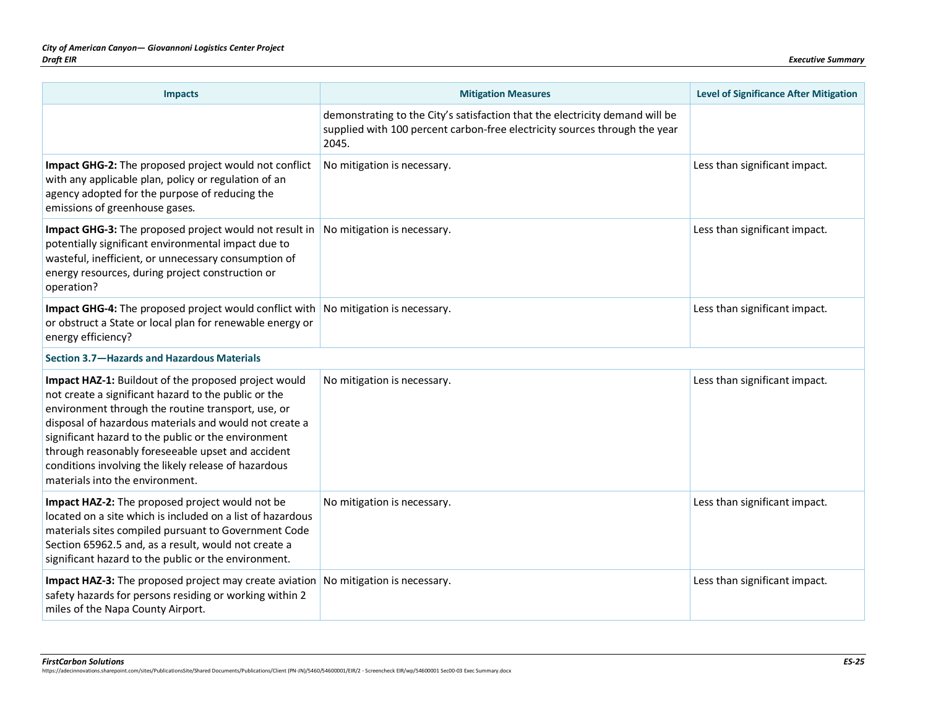| <b>Impacts</b>                                                                                                                                                                                                                                                                                                                                                                                                                      | <b>Mitigation Measures</b>                                                                                                                                          | <b>Level of Significance After Mitigation</b> |
|-------------------------------------------------------------------------------------------------------------------------------------------------------------------------------------------------------------------------------------------------------------------------------------------------------------------------------------------------------------------------------------------------------------------------------------|---------------------------------------------------------------------------------------------------------------------------------------------------------------------|-----------------------------------------------|
|                                                                                                                                                                                                                                                                                                                                                                                                                                     | demonstrating to the City's satisfaction that the electricity demand will be<br>supplied with 100 percent carbon-free electricity sources through the year<br>2045. |                                               |
| Impact GHG-2: The proposed project would not conflict<br>with any applicable plan, policy or regulation of an<br>agency adopted for the purpose of reducing the<br>emissions of greenhouse gases.                                                                                                                                                                                                                                   | No mitigation is necessary.                                                                                                                                         | Less than significant impact.                 |
| Impact GHG-3: The proposed project would not result in<br>potentially significant environmental impact due to<br>wasteful, inefficient, or unnecessary consumption of<br>energy resources, during project construction or<br>operation?                                                                                                                                                                                             | No mitigation is necessary.                                                                                                                                         | Less than significant impact.                 |
| Impact GHG-4: The proposed project would conflict with No mitigation is necessary.<br>or obstruct a State or local plan for renewable energy or<br>energy efficiency?                                                                                                                                                                                                                                                               |                                                                                                                                                                     | Less than significant impact.                 |
| Section 3.7-Hazards and Hazardous Materials                                                                                                                                                                                                                                                                                                                                                                                         |                                                                                                                                                                     |                                               |
| Impact HAZ-1: Buildout of the proposed project would<br>not create a significant hazard to the public or the<br>environment through the routine transport, use, or<br>disposal of hazardous materials and would not create a<br>significant hazard to the public or the environment<br>through reasonably foreseeable upset and accident<br>conditions involving the likely release of hazardous<br>materials into the environment. | No mitigation is necessary.                                                                                                                                         | Less than significant impact.                 |
| Impact HAZ-2: The proposed project would not be<br>located on a site which is included on a list of hazardous<br>materials sites compiled pursuant to Government Code<br>Section 65962.5 and, as a result, would not create a<br>significant hazard to the public or the environment.                                                                                                                                               | No mitigation is necessary.                                                                                                                                         | Less than significant impact.                 |
| Impact HAZ-3: The proposed project may create aviation<br>safety hazards for persons residing or working within 2<br>miles of the Napa County Airport.                                                                                                                                                                                                                                                                              | No mitigation is necessary.                                                                                                                                         | Less than significant impact.                 |

*FirstCarbon Solutions ES-25* https://adecinnovations.sharepoint.com/sites/PublicationsSite/Shared Documents/Publications/Client (PN-JN)/5460/54600001/EIR/2 - Screencheck EIR/wp/54600001 Sec00-03 Exec Summary.docx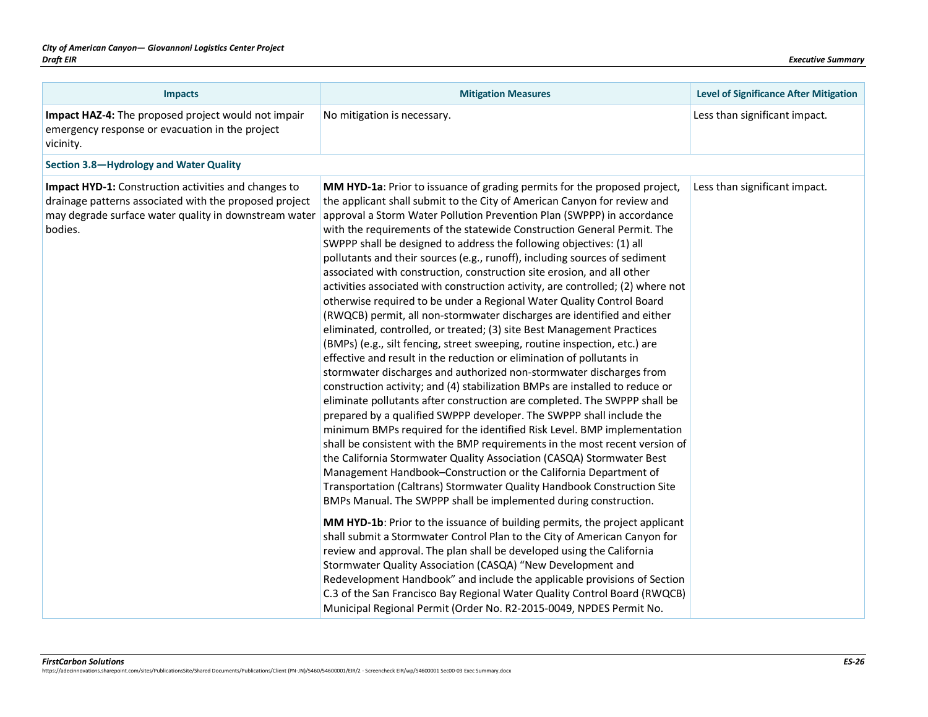| <b>Impacts</b>                                                                                                                                                                     | <b>Mitigation Measures</b>                                                                                                                                                                                                                                                                                                                                                                                                                                                                                                                                                                                                                                                                                                                                                                                                                                                                                                                                                                                                                                                                                                                                                                                                                                                                                                                                                                                                                                                                                                                                                                                                                                                                                                                                                                                                                                                                                                                                                                                                                                                                                                                                                                                                                                                                                               | <b>Level of Significance After Mitigation</b> |
|------------------------------------------------------------------------------------------------------------------------------------------------------------------------------------|--------------------------------------------------------------------------------------------------------------------------------------------------------------------------------------------------------------------------------------------------------------------------------------------------------------------------------------------------------------------------------------------------------------------------------------------------------------------------------------------------------------------------------------------------------------------------------------------------------------------------------------------------------------------------------------------------------------------------------------------------------------------------------------------------------------------------------------------------------------------------------------------------------------------------------------------------------------------------------------------------------------------------------------------------------------------------------------------------------------------------------------------------------------------------------------------------------------------------------------------------------------------------------------------------------------------------------------------------------------------------------------------------------------------------------------------------------------------------------------------------------------------------------------------------------------------------------------------------------------------------------------------------------------------------------------------------------------------------------------------------------------------------------------------------------------------------------------------------------------------------------------------------------------------------------------------------------------------------------------------------------------------------------------------------------------------------------------------------------------------------------------------------------------------------------------------------------------------------------------------------------------------------------------------------------------------------|-----------------------------------------------|
| Impact HAZ-4: The proposed project would not impair<br>emergency response or evacuation in the project<br>vicinity.                                                                | No mitigation is necessary.                                                                                                                                                                                                                                                                                                                                                                                                                                                                                                                                                                                                                                                                                                                                                                                                                                                                                                                                                                                                                                                                                                                                                                                                                                                                                                                                                                                                                                                                                                                                                                                                                                                                                                                                                                                                                                                                                                                                                                                                                                                                                                                                                                                                                                                                                              | Less than significant impact.                 |
| Section 3.8-Hydrology and Water Quality                                                                                                                                            |                                                                                                                                                                                                                                                                                                                                                                                                                                                                                                                                                                                                                                                                                                                                                                                                                                                                                                                                                                                                                                                                                                                                                                                                                                                                                                                                                                                                                                                                                                                                                                                                                                                                                                                                                                                                                                                                                                                                                                                                                                                                                                                                                                                                                                                                                                                          |                                               |
| Impact HYD-1: Construction activities and changes to<br>drainage patterns associated with the proposed project<br>may degrade surface water quality in downstream water<br>bodies. | MM HYD-1a: Prior to issuance of grading permits for the proposed project,<br>the applicant shall submit to the City of American Canyon for review and<br>approval a Storm Water Pollution Prevention Plan (SWPPP) in accordance<br>with the requirements of the statewide Construction General Permit. The<br>SWPPP shall be designed to address the following objectives: (1) all<br>pollutants and their sources (e.g., runoff), including sources of sediment<br>associated with construction, construction site erosion, and all other<br>activities associated with construction activity, are controlled; (2) where not<br>otherwise required to be under a Regional Water Quality Control Board<br>(RWQCB) permit, all non-stormwater discharges are identified and either<br>eliminated, controlled, or treated; (3) site Best Management Practices<br>(BMPs) (e.g., silt fencing, street sweeping, routine inspection, etc.) are<br>effective and result in the reduction or elimination of pollutants in<br>stormwater discharges and authorized non-stormwater discharges from<br>construction activity; and (4) stabilization BMPs are installed to reduce or<br>eliminate pollutants after construction are completed. The SWPPP shall be<br>prepared by a qualified SWPPP developer. The SWPPP shall include the<br>minimum BMPs required for the identified Risk Level. BMP implementation<br>shall be consistent with the BMP requirements in the most recent version of<br>the California Stormwater Quality Association (CASQA) Stormwater Best<br>Management Handbook-Construction or the California Department of<br>Transportation (Caltrans) Stormwater Quality Handbook Construction Site<br>BMPs Manual. The SWPPP shall be implemented during construction.<br>MM HYD-1b: Prior to the issuance of building permits, the project applicant<br>shall submit a Stormwater Control Plan to the City of American Canyon for<br>review and approval. The plan shall be developed using the California<br>Stormwater Quality Association (CASQA) "New Development and<br>Redevelopment Handbook" and include the applicable provisions of Section<br>C.3 of the San Francisco Bay Regional Water Quality Control Board (RWQCB)<br>Municipal Regional Permit (Order No. R2-2015-0049, NPDES Permit No. | Less than significant impact.                 |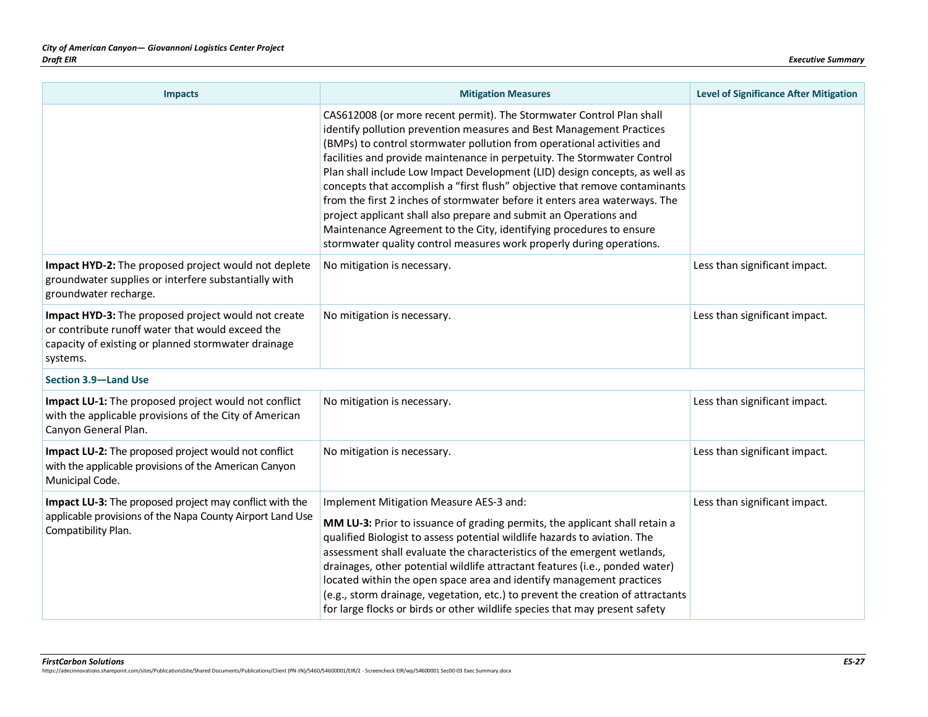| <b>Impacts</b>                                                                                                                                                             | <b>Mitigation Measures</b>                                                                                                                                                                                                                                                                                                                                                                                                                                                                                                                                                                                                                                                                                                                                         | <b>Level of Significance After Mitigation</b> |
|----------------------------------------------------------------------------------------------------------------------------------------------------------------------------|--------------------------------------------------------------------------------------------------------------------------------------------------------------------------------------------------------------------------------------------------------------------------------------------------------------------------------------------------------------------------------------------------------------------------------------------------------------------------------------------------------------------------------------------------------------------------------------------------------------------------------------------------------------------------------------------------------------------------------------------------------------------|-----------------------------------------------|
|                                                                                                                                                                            | CAS612008 (or more recent permit). The Stormwater Control Plan shall<br>identify pollution prevention measures and Best Management Practices<br>(BMPs) to control stormwater pollution from operational activities and<br>facilities and provide maintenance in perpetuity. The Stormwater Control<br>Plan shall include Low Impact Development (LID) design concepts, as well as<br>concepts that accomplish a "first flush" objective that remove contaminants<br>from the first 2 inches of stormwater before it enters area waterways. The<br>project applicant shall also prepare and submit an Operations and<br>Maintenance Agreement to the City, identifying procedures to ensure<br>stormwater quality control measures work properly during operations. |                                               |
| Impact HYD-2: The proposed project would not deplete<br>groundwater supplies or interfere substantially with<br>groundwater recharge.                                      | No mitigation is necessary.                                                                                                                                                                                                                                                                                                                                                                                                                                                                                                                                                                                                                                                                                                                                        | Less than significant impact.                 |
| Impact HYD-3: The proposed project would not create<br>or contribute runoff water that would exceed the<br>capacity of existing or planned stormwater drainage<br>systems. | No mitigation is necessary.                                                                                                                                                                                                                                                                                                                                                                                                                                                                                                                                                                                                                                                                                                                                        | Less than significant impact.                 |
| Section 3.9-Land Use                                                                                                                                                       |                                                                                                                                                                                                                                                                                                                                                                                                                                                                                                                                                                                                                                                                                                                                                                    |                                               |
| Impact LU-1: The proposed project would not conflict<br>with the applicable provisions of the City of American<br>Canyon General Plan.                                     | No mitigation is necessary.                                                                                                                                                                                                                                                                                                                                                                                                                                                                                                                                                                                                                                                                                                                                        | Less than significant impact.                 |
| Impact LU-2: The proposed project would not conflict<br>with the applicable provisions of the American Canyon<br>Municipal Code.                                           | No mitigation is necessary.                                                                                                                                                                                                                                                                                                                                                                                                                                                                                                                                                                                                                                                                                                                                        | Less than significant impact.                 |
| Impact LU-3: The proposed project may conflict with the<br>applicable provisions of the Napa County Airport Land Use<br>Compatibility Plan.                                | Implement Mitigation Measure AES-3 and:<br>MM LU-3: Prior to issuance of grading permits, the applicant shall retain a<br>qualified Biologist to assess potential wildlife hazards to aviation. The<br>assessment shall evaluate the characteristics of the emergent wetlands,<br>drainages, other potential wildlife attractant features (i.e., ponded water)<br>located within the open space area and identify management practices<br>(e.g., storm drainage, vegetation, etc.) to prevent the creation of attractants<br>for large flocks or birds or other wildlife species that may present safety                                                                                                                                                           | Less than significant impact.                 |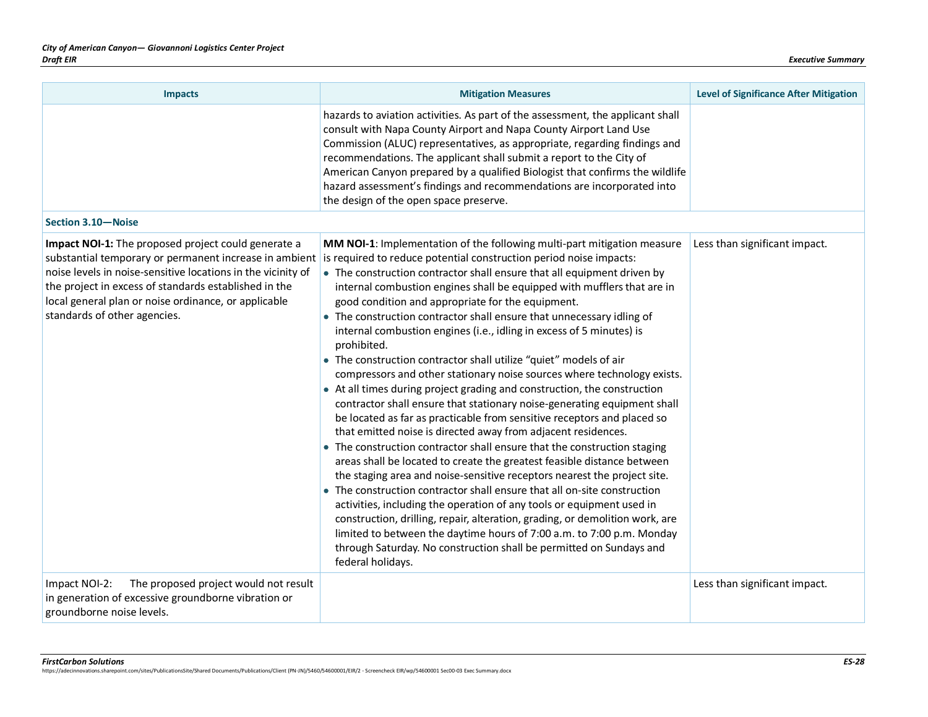| <b>Impacts</b>                                                                                                                                                                                                                                                                                                                 | <b>Mitigation Measures</b>                                                                                                                                                                                                                                                                                                                                                                                                                                                                                                                                                                                                                                                                                                                                                                                                                                                                                                                                                                                                                                                                                                                                                                                                                                                                                                                                                                                                                                                                                                                                                                                                | <b>Level of Significance After Mitigation</b> |
|--------------------------------------------------------------------------------------------------------------------------------------------------------------------------------------------------------------------------------------------------------------------------------------------------------------------------------|---------------------------------------------------------------------------------------------------------------------------------------------------------------------------------------------------------------------------------------------------------------------------------------------------------------------------------------------------------------------------------------------------------------------------------------------------------------------------------------------------------------------------------------------------------------------------------------------------------------------------------------------------------------------------------------------------------------------------------------------------------------------------------------------------------------------------------------------------------------------------------------------------------------------------------------------------------------------------------------------------------------------------------------------------------------------------------------------------------------------------------------------------------------------------------------------------------------------------------------------------------------------------------------------------------------------------------------------------------------------------------------------------------------------------------------------------------------------------------------------------------------------------------------------------------------------------------------------------------------------------|-----------------------------------------------|
|                                                                                                                                                                                                                                                                                                                                | hazards to aviation activities. As part of the assessment, the applicant shall<br>consult with Napa County Airport and Napa County Airport Land Use<br>Commission (ALUC) representatives, as appropriate, regarding findings and<br>recommendations. The applicant shall submit a report to the City of<br>American Canyon prepared by a qualified Biologist that confirms the wildlife<br>hazard assessment's findings and recommendations are incorporated into<br>the design of the open space preserve.                                                                                                                                                                                                                                                                                                                                                                                                                                                                                                                                                                                                                                                                                                                                                                                                                                                                                                                                                                                                                                                                                                               |                                               |
| Section 3.10-Noise                                                                                                                                                                                                                                                                                                             |                                                                                                                                                                                                                                                                                                                                                                                                                                                                                                                                                                                                                                                                                                                                                                                                                                                                                                                                                                                                                                                                                                                                                                                                                                                                                                                                                                                                                                                                                                                                                                                                                           |                                               |
| Impact NOI-1: The proposed project could generate a<br>substantial temporary or permanent increase in ambient<br>noise levels in noise-sensitive locations in the vicinity of<br>the project in excess of standards established in the<br>local general plan or noise ordinance, or applicable<br>standards of other agencies. | MM NOI-1: Implementation of the following multi-part mitigation measure<br>is required to reduce potential construction period noise impacts:<br>• The construction contractor shall ensure that all equipment driven by<br>internal combustion engines shall be equipped with mufflers that are in<br>good condition and appropriate for the equipment.<br>• The construction contractor shall ensure that unnecessary idling of<br>internal combustion engines (i.e., idling in excess of 5 minutes) is<br>prohibited.<br>• The construction contractor shall utilize "quiet" models of air<br>compressors and other stationary noise sources where technology exists.<br>• At all times during project grading and construction, the construction<br>contractor shall ensure that stationary noise-generating equipment shall<br>be located as far as practicable from sensitive receptors and placed so<br>that emitted noise is directed away from adjacent residences.<br>• The construction contractor shall ensure that the construction staging<br>areas shall be located to create the greatest feasible distance between<br>the staging area and noise-sensitive receptors nearest the project site.<br>• The construction contractor shall ensure that all on-site construction<br>activities, including the operation of any tools or equipment used in<br>construction, drilling, repair, alteration, grading, or demolition work, are<br>limited to between the daytime hours of 7:00 a.m. to 7:00 p.m. Monday<br>through Saturday. No construction shall be permitted on Sundays and<br>federal holidays. | Less than significant impact.                 |
| The proposed project would not result<br>Impact NOI-2:<br>in generation of excessive groundborne vibration or<br>groundborne noise levels.                                                                                                                                                                                     |                                                                                                                                                                                                                                                                                                                                                                                                                                                                                                                                                                                                                                                                                                                                                                                                                                                                                                                                                                                                                                                                                                                                                                                                                                                                                                                                                                                                                                                                                                                                                                                                                           | Less than significant impact.                 |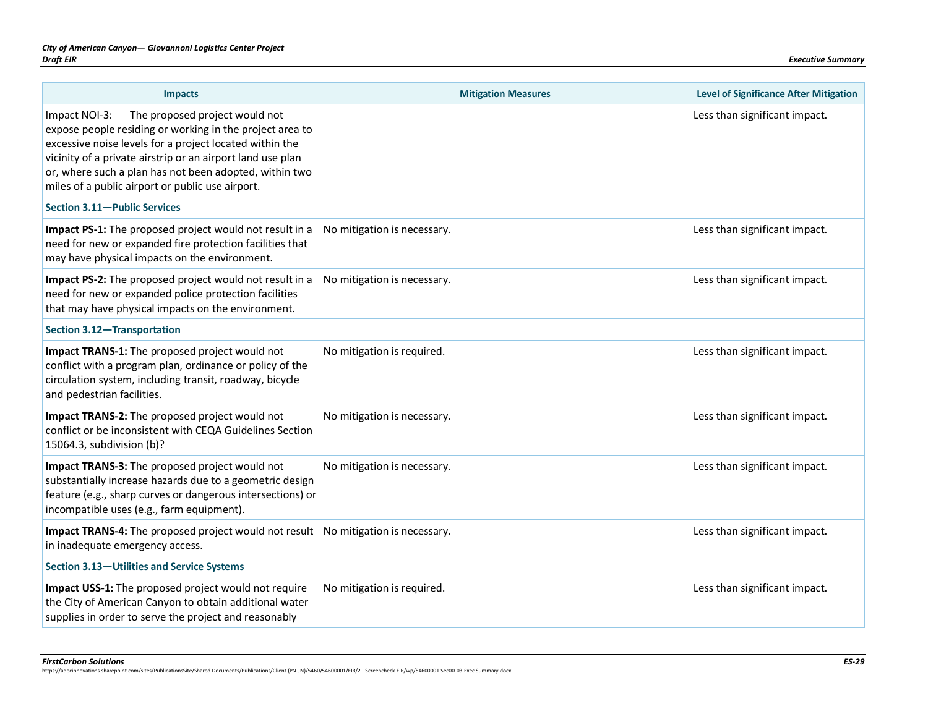| <b>Impacts</b>                                                                                                                                                                                                                                                                                                                                     | <b>Mitigation Measures</b>  | <b>Level of Significance After Mitigation</b> |
|----------------------------------------------------------------------------------------------------------------------------------------------------------------------------------------------------------------------------------------------------------------------------------------------------------------------------------------------------|-----------------------------|-----------------------------------------------|
| The proposed project would not<br>Impact NOI-3:<br>expose people residing or working in the project area to<br>excessive noise levels for a project located within the<br>vicinity of a private airstrip or an airport land use plan<br>or, where such a plan has not been adopted, within two<br>miles of a public airport or public use airport. |                             | Less than significant impact.                 |
| Section 3.11-Public Services                                                                                                                                                                                                                                                                                                                       |                             |                                               |
| Impact PS-1: The proposed project would not result in a<br>need for new or expanded fire protection facilities that<br>may have physical impacts on the environment.                                                                                                                                                                               | No mitigation is necessary. | Less than significant impact.                 |
| Impact PS-2: The proposed project would not result in a<br>need for new or expanded police protection facilities<br>that may have physical impacts on the environment.                                                                                                                                                                             | No mitigation is necessary. | Less than significant impact.                 |
| Section 3.12-Transportation                                                                                                                                                                                                                                                                                                                        |                             |                                               |
| Impact TRANS-1: The proposed project would not<br>conflict with a program plan, ordinance or policy of the<br>circulation system, including transit, roadway, bicycle<br>and pedestrian facilities.                                                                                                                                                | No mitigation is required.  | Less than significant impact.                 |
| Impact TRANS-2: The proposed project would not<br>conflict or be inconsistent with CEQA Guidelines Section<br>15064.3, subdivision (b)?                                                                                                                                                                                                            | No mitigation is necessary. | Less than significant impact.                 |
| Impact TRANS-3: The proposed project would not<br>substantially increase hazards due to a geometric design<br>feature (e.g., sharp curves or dangerous intersections) or<br>incompatible uses (e.g., farm equipment).                                                                                                                              | No mitigation is necessary. | Less than significant impact.                 |
| Impact TRANS-4: The proposed project would not result<br>in inadequate emergency access.                                                                                                                                                                                                                                                           | No mitigation is necessary. | Less than significant impact.                 |
| Section 3.13-Utilities and Service Systems                                                                                                                                                                                                                                                                                                         |                             |                                               |
| Impact USS-1: The proposed project would not require<br>the City of American Canyon to obtain additional water<br>supplies in order to serve the project and reasonably                                                                                                                                                                            | No mitigation is required.  | Less than significant impact.                 |

*FirstCarbon Solutions ES-29* https://adecinnovations.sharepoint.com/sites/PublicationsSite/Shared Documents/Publications/Client (PN-JN)/5460/54600001/EIR/2 - Screencheck EIR/wp/54600001 Sec00-03 Exec Summary.docx